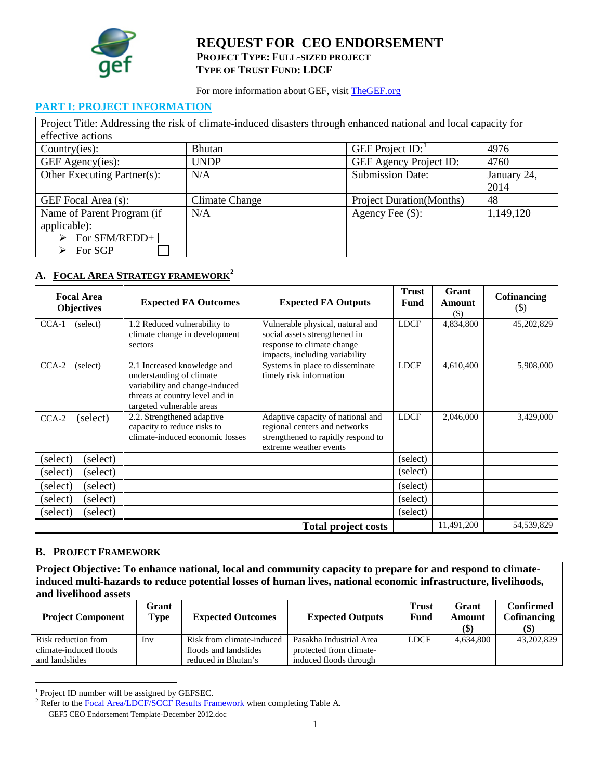

# **REQUEST FOR CEO ENDORSEMENT PROJECT TYPE: FULL-SIZED PROJECT TYPE OF TRUST FUND: LDCF**

For more information about GEF, visi[t TheGEF.org](http://www.thegef.org/gef/home)

#### **PART I: PROJECT INFORMATION**

| Project Title: Addressing the risk of climate-induced disasters through enhanced national and local capacity for |                |                                  |                     |  |  |  |  |  |
|------------------------------------------------------------------------------------------------------------------|----------------|----------------------------------|---------------------|--|--|--|--|--|
| effective actions                                                                                                |                |                                  |                     |  |  |  |  |  |
| Country(ies):                                                                                                    | <b>Bhutan</b>  | GEF Project $ID:$                | 4976                |  |  |  |  |  |
| GEF Agency(ies):                                                                                                 | <b>UNDP</b>    | GEF Agency Project ID:           | 4760                |  |  |  |  |  |
| Other Executing Partner(s):                                                                                      | N/A            | <b>Submission Date:</b>          | January 24,<br>2014 |  |  |  |  |  |
| GEF Focal Area (s):                                                                                              | Climate Change | <b>Project Duration</b> (Months) | 48                  |  |  |  |  |  |
| Name of Parent Program (if<br>applicable):<br>For SFM/REDD+ $\Box$<br>For SGP                                    | N/A            | Agency Fee (\$):                 | 1,149,120           |  |  |  |  |  |

# **A. [FOCAL AREA STRATEGY FRAMEWORK](http://www.thegef.org/gef/sites/thegef.org/files/documents/document/GEF5-Template%20Reference%20Guide%209-14-10rev11-18-2010.doc)[2](#page-0-1)**

| <b>Focal Area</b><br><b>Objectives</b> | <b>Expected FA Outcomes</b>                                                                                                                               | <b>Expected FA Outputs</b>                                                                                                         | <b>Trust</b><br><b>Fund</b> | Grant<br>Amount<br>$\left( \mathcal{S} \right)$ | Cofinancing<br>$(\$)$ |
|----------------------------------------|-----------------------------------------------------------------------------------------------------------------------------------------------------------|------------------------------------------------------------------------------------------------------------------------------------|-----------------------------|-------------------------------------------------|-----------------------|
| (select)<br>CCA-1                      | 1.2 Reduced vulnerability to<br>climate change in development<br>sectors                                                                                  | Vulnerable physical, natural and<br>social assets strengthened in<br>response to climate change<br>impacts, including variability  | <b>LDCF</b>                 | 4,834,800                                       | 45,202,829            |
| $CCA-2$<br>(select)                    | 2.1 Increased knowledge and<br>understanding of climate<br>variability and change-induced<br>threats at country level and in<br>targeted vulnerable areas | Systems in place to disseminate<br>timely risk information                                                                         |                             | 4,610,400                                       | 5,908,000             |
| (select)<br>$CCA-2$                    | 2.2. Strengthened adaptive<br>capacity to reduce risks to<br>climate-induced economic losses                                                              | Adaptive capacity of national and<br>regional centers and networks<br>strengthened to rapidly respond to<br>extreme weather events | <b>LDCF</b>                 | 2,046,000                                       | 3,429,000             |
| (select)<br>(select)                   |                                                                                                                                                           |                                                                                                                                    | (select)                    |                                                 |                       |
| (select)<br>(select)                   |                                                                                                                                                           |                                                                                                                                    | (select)                    |                                                 |                       |
| (select)<br>(select)                   |                                                                                                                                                           |                                                                                                                                    | (select)                    |                                                 |                       |
| (select)<br>(select)                   |                                                                                                                                                           |                                                                                                                                    | (select)                    |                                                 |                       |
| (select)<br>(select)                   |                                                                                                                                                           |                                                                                                                                    | (select)                    |                                                 |                       |
|                                        |                                                                                                                                                           | <b>Total project costs</b>                                                                                                         |                             | 11,491,200                                      | 54,539,829            |

#### **B. PROJECT FRAMEWORK**

 $\overline{\phantom{a}}$ 

**Project Objective: To enhance national, local and community capacity to prepare for and respond to climateinduced multi-hazards to reduce potential losses of human lives, national economic infrastructure, livelihoods, and livelihood assets**

| ana nyemvoa assets       |               |                           |                         |                      |                                              |                                 |
|--------------------------|---------------|---------------------------|-------------------------|----------------------|----------------------------------------------|---------------------------------|
| <b>Project Component</b> | Grant<br>Type | <b>Expected Outcomes</b>  | <b>Expected Outputs</b> | <b>Trust</b><br>Fund | Grant<br>Amount<br>$\left( \text{\$}\right)$ | Confirmed<br>Cofinancing<br>\$) |
| Risk reduction from      | Inv           | Risk from climate-induced | Pasakha Industrial Area | <b>LDCF</b>          | 4,634,800                                    | 43,202,829                      |
| climate-induced floods   |               | floods and landslides     | protected from climate- |                      |                                              |                                 |
| and landslides           |               | reduced in Bhutan's       | induced floods through  |                      |                                              |                                 |

<span id="page-0-0"></span><sup>&</sup>lt;sup>1</sup> Project ID number will be assigned by GEFSEC.

<span id="page-0-1"></span><sup>&</sup>lt;sup>2</sup> Refer to the [Focal Area/LDCF/SCCF Results Framework](http://www.thegef.org/gef/sites/thegef.org/files/documents/document/GEF5-Template%20Reference%20Guide%209-14-10rev11-18-2010.doc) when completing Table A.

GEF5 CEO Endorsement Template-December 2012.doc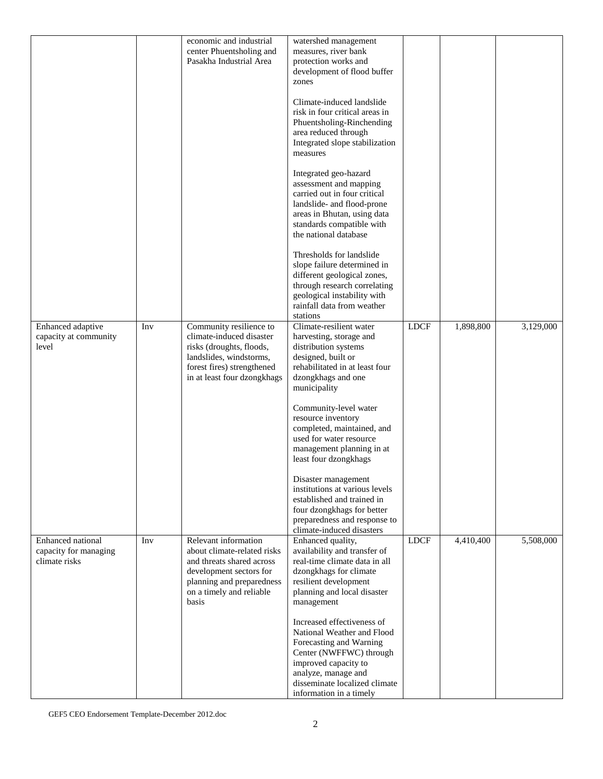|                                                             |     | economic and industrial<br>center Phuentsholing and<br>Pasakha Industrial Area                                                                                                | watershed management<br>measures, river bank<br>protection works and<br>development of flood buffer<br>zones                                                                                                              |              |           |           |
|-------------------------------------------------------------|-----|-------------------------------------------------------------------------------------------------------------------------------------------------------------------------------|---------------------------------------------------------------------------------------------------------------------------------------------------------------------------------------------------------------------------|--------------|-----------|-----------|
|                                                             |     |                                                                                                                                                                               | Climate-induced landslide<br>risk in four critical areas in<br>Phuentsholing-Rinchending<br>area reduced through<br>Integrated slope stabilization<br>measures                                                            |              |           |           |
|                                                             |     |                                                                                                                                                                               | Integrated geo-hazard<br>assessment and mapping<br>carried out in four critical<br>landslide- and flood-prone<br>areas in Bhutan, using data<br>standards compatible with<br>the national database                        |              |           |           |
|                                                             |     |                                                                                                                                                                               | Thresholds for landslide<br>slope failure determined in<br>different geological zones,<br>through research correlating<br>geological instability with<br>rainfall data from weather<br>stations                           |              |           |           |
| Enhanced adaptive<br>capacity at community<br>level         | Inv | Community resilience to<br>climate-induced disaster<br>risks (droughts, floods,<br>landslides, windstorms,<br>forest fires) strengthened<br>in at least four dzongkhags       | Climate-resilient water<br>harvesting, storage and<br>distribution systems<br>designed, built or<br>rehabilitated in at least four<br>dzongkhags and one<br>municipality                                                  | ${\rm LDCF}$ | 1,898,800 | 3,129,000 |
|                                                             |     |                                                                                                                                                                               | Community-level water<br>resource inventory<br>completed, maintained, and<br>used for water resource<br>management planning in at<br>least four dzongkhags                                                                |              |           |           |
|                                                             |     |                                                                                                                                                                               | Disaster management<br>institutions at various levels<br>established and trained in<br>four dzongkhags for better<br>preparedness and response to<br>climate-induced disasters                                            |              |           |           |
| Enhanced national<br>capacity for managing<br>climate risks | Inv | Relevant information<br>about climate-related risks<br>and threats shared across<br>development sectors for<br>planning and preparedness<br>on a timely and reliable<br>basis | Enhanced quality,<br>availability and transfer of<br>real-time climate data in all<br>dzongkhags for climate<br>resilient development<br>planning and local disaster<br>management                                        | <b>LDCF</b>  | 4,410,400 | 5,508,000 |
|                                                             |     |                                                                                                                                                                               | Increased effectiveness of<br>National Weather and Flood<br>Forecasting and Warning<br>Center (NWFFWC) through<br>improved capacity to<br>analyze, manage and<br>disseminate localized climate<br>information in a timely |              |           |           |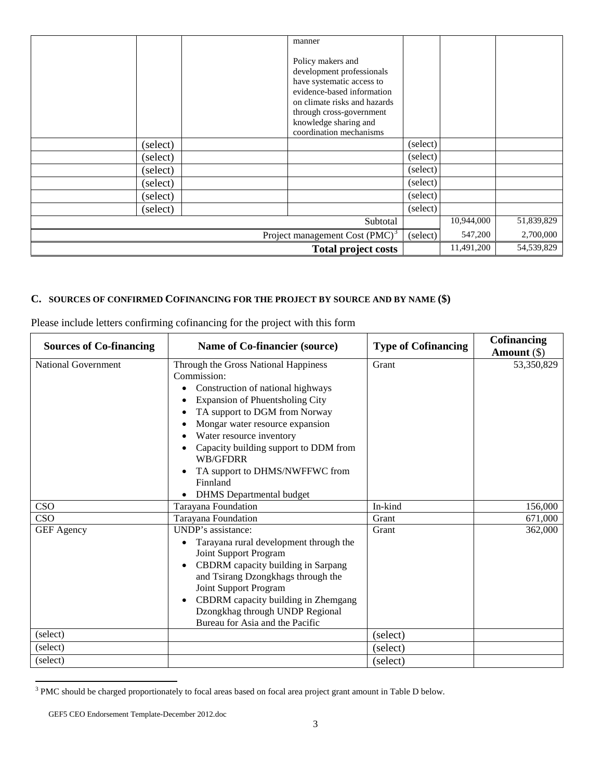|          | manner<br>Policy makers and | development professionals<br>have systematic access to<br>evidence-based information<br>on climate risks and hazards<br>through cross-government<br>knowledge sharing and<br>coordination mechanisms |            |            |
|----------|-----------------------------|------------------------------------------------------------------------------------------------------------------------------------------------------------------------------------------------------|------------|------------|
| (select) |                             | (select)                                                                                                                                                                                             |            |            |
| (select) |                             | (select)                                                                                                                                                                                             |            |            |
| (select) |                             | (select)                                                                                                                                                                                             |            |            |
| (select) |                             | (select)                                                                                                                                                                                             |            |            |
| (select) |                             | (select)                                                                                                                                                                                             |            |            |
| (select) |                             | (select)                                                                                                                                                                                             |            |            |
|          |                             | Subtotal                                                                                                                                                                                             | 10,944,000 | 51,839,829 |
|          |                             | Project management Cost (PMC) <sup>3</sup><br>(select)                                                                                                                                               | 547,200    | 2,700,000  |
|          |                             | <b>Total project costs</b>                                                                                                                                                                           | 11,491,200 | 54,539,829 |

# **C. SOURCES OF CONFIRMED [COFINANCING](http://gefweb.org/Documents/Council_Documents/GEF_C21/C.20.6.Rev.1.pdf) FOR THE PROJECT BY SOURCE AND BY NAME (\$)**

| <b>Sources of Co-financing</b> | <b>Name of Co-financier (source)</b>                                                                                                                                                                                                                                                                                                                                            | <b>Type of Cofinancing</b> | Cofinancing<br>Amount $(\$)$ |
|--------------------------------|---------------------------------------------------------------------------------------------------------------------------------------------------------------------------------------------------------------------------------------------------------------------------------------------------------------------------------------------------------------------------------|----------------------------|------------------------------|
| <b>National Government</b>     | Through the Gross National Happiness<br>Commission:<br>Construction of national highways<br><b>Expansion of Phuentsholing City</b><br>TA support to DGM from Norway<br>Mongar water resource expansion<br>Water resource inventory<br>Capacity building support to DDM from<br><b>WB/GFDRR</b><br>TA support to DHMS/NWFFWC from<br>Finnland<br><b>DHMS</b> Departmental budget | Grant                      | 53,350,829                   |
| <b>CSO</b>                     | Tarayana Foundation                                                                                                                                                                                                                                                                                                                                                             | In-kind                    | 156,000                      |
| <b>CSO</b>                     | Tarayana Foundation                                                                                                                                                                                                                                                                                                                                                             | Grant                      | 671,000                      |
| GEF Agency                     | UNDP's assistance:<br>Tarayana rural development through the<br>٠<br>Joint Support Program<br>CBDRM capacity building in Sarpang<br>$\bullet$<br>and Tsirang Dzongkhags through the<br>Joint Support Program<br>CBDRM capacity building in Zhemgang<br>$\bullet$<br>Dzongkhag through UNDP Regional<br>Bureau for Asia and the Pacific                                          | Grant                      | 362,000                      |
| (select)                       |                                                                                                                                                                                                                                                                                                                                                                                 | (select)                   |                              |
| (select)                       |                                                                                                                                                                                                                                                                                                                                                                                 | (select)                   |                              |
| (select)                       |                                                                                                                                                                                                                                                                                                                                                                                 | (select)                   |                              |

Please include letters confirming cofinancing for the project with this form

 $\overline{\phantom{a}}$ 

<span id="page-2-0"></span> $3$  PMC should be charged proportionately to focal areas based on focal area project grant amount in Table D below.

GEF5 CEO Endorsement Template-December 2012.doc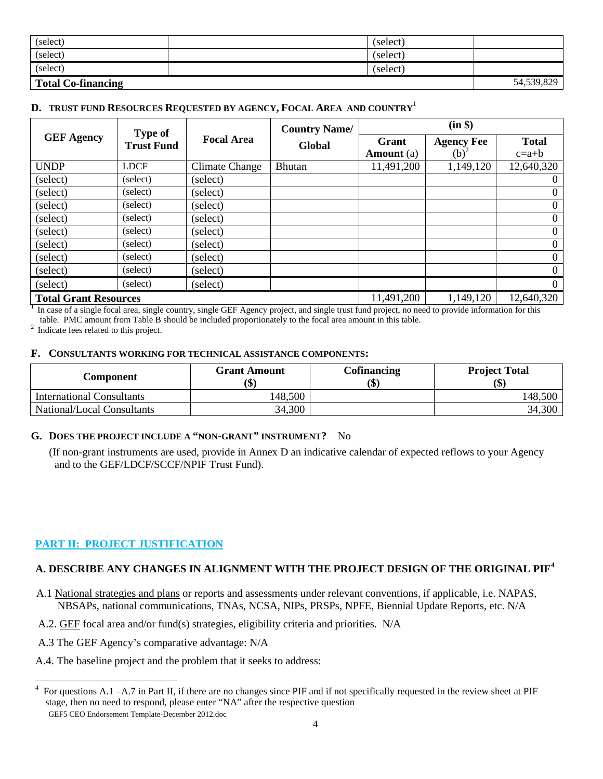| (select)                  | (select)   |  |
|---------------------------|------------|--|
| (select)                  | (select)   |  |
| (select)                  | (select)   |  |
| <b>Total Co-financing</b> | 54,539,829 |  |

#### **D. TRUST FUND RESOURCES REQUESTED BY AGENCY, FOCAL AREA AND COUNTRY**<sup>1</sup>

|                              | <b>Type of</b><br><b>Trust Fund</b> | <b>Focal Area</b> | <b>Country Name/</b> | (in \$)                    |                              |                         |  |
|------------------------------|-------------------------------------|-------------------|----------------------|----------------------------|------------------------------|-------------------------|--|
| <b>GEF Agency</b>            |                                     |                   | Global               | Grant<br><b>Amount</b> (a) | <b>Agency Fee</b><br>$(b)^2$ | <b>Total</b><br>$c=a+b$ |  |
| <b>UNDP</b>                  | <b>LDCF</b>                         | Climate Change    | Bhutan               | 11,491,200                 | 1,149,120                    | 12,640,320              |  |
| (select)                     | (select)                            | (select)          |                      |                            |                              | $\theta$                |  |
| (select)                     | (select)                            | (select)          |                      |                            |                              | $\theta$                |  |
| (select)                     | (select)                            | (select)          |                      |                            |                              | $\boldsymbol{0}$        |  |
| (select)                     | (select)                            | (select)          |                      |                            |                              | $\boldsymbol{0}$        |  |
| (select)                     | (select)                            | (select)          |                      |                            |                              | $\boldsymbol{0}$        |  |
| (select)                     | (select)                            | (select)          |                      |                            |                              | $\boldsymbol{0}$        |  |
| (select)                     | (select)                            | (select)          |                      |                            |                              | $\Omega$                |  |
| (select)                     | (select)                            | (select)          |                      |                            |                              | 0                       |  |
| (select)                     | (select)                            | (select)          |                      |                            |                              | $\Omega$                |  |
| <b>Total Grant Resources</b> |                                     |                   |                      | 11,491,200                 | 1,149,120                    | 12,640,320              |  |

 $\textsuperscript{1}$  In case of a single focal area, single country, single GEF Agency project, and single trust fund project, no need to provide information for this table. PMC amount from Table B should be included proportionately to the focal area amount in this table. 2 Indicate fees related to this project.

#### **F. CONSULTANTS WORKING FOR TECHNICAL ASSISTANCE COMPONENTS:**

| Component                        | <b>Grant Amount</b><br>(\$` | Cofinancing<br>(\$` | <b>Project Total</b><br>(\$` |
|----------------------------------|-----------------------------|---------------------|------------------------------|
| <b>International Consultants</b> | 148,500                     |                     | 148,500                      |
| National/Local Consultants       | 34,300                      |                     | 34,300                       |

#### **G. DOES THE PROJECT INCLUDE A "NON-GRANT" INSTRUMENT?** No

 (If non-grant instruments are used, provide in Annex D an indicative calendar of expected reflows to your Agency and to the GEF/LDCF/SCCF/NPIF Trust Fund).

## **PART II: PROJECT JUSTIFICATION**

#### **A. DESCRIBE ANY CHANGES IN ALIGNMENT WITH THE PROJECT DESIGN OF THE ORIGINAL PIF[4](#page-3-0)**

- A.1 National strategies and plans or reports and assessments under relevant conventions, if applicable, i.e. NAPAS, NBSAPs, national communications, TNAs, NCSA, NIPs, PRSPs, NPFE, Biennial Update Reports, etc. N/A
- A.2. GEF focal area and/or fund(s) strategies, eligibility criteria and priorities. N/A
- A.3 The GEF Agency's comparative advantage: N/A
- A.4. The baseline project and the problem that it seeks to address:

<span id="page-3-0"></span>GEF5 CEO Endorsement Template-December 2012.doc  $\frac{1}{4}$ <sup>4</sup> For questions A.1 –A.7 in Part II, if there are no changes since PIF and if not specifically requested in the review sheet at PIF stage, then no need to respond, please enter "NA" after the respective question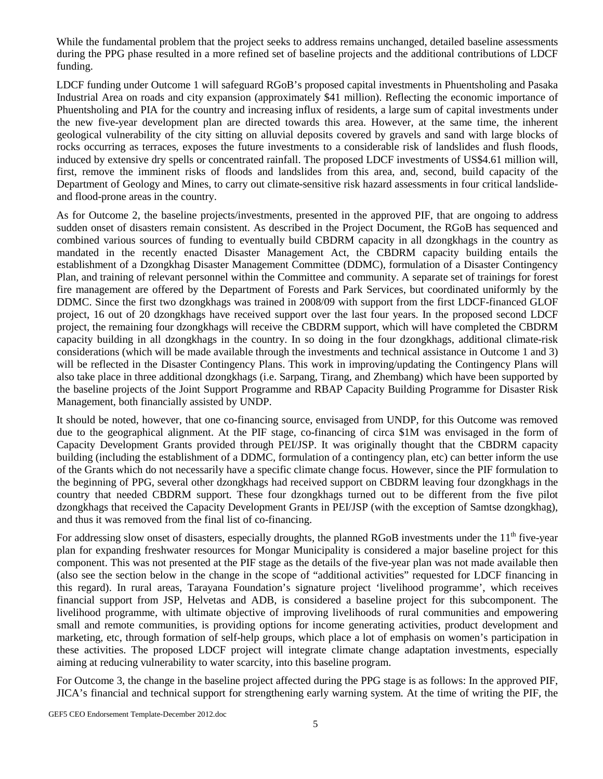While the fundamental problem that the project seeks to address remains unchanged, detailed baseline assessments during the PPG phase resulted in a more refined set of baseline projects and the additional contributions of LDCF funding.

LDCF funding under Outcome 1 will safeguard RGoB's proposed capital investments in Phuentsholing and Pasaka Industrial Area on roads and city expansion (approximately \$41 million). Reflecting the economic importance of Phuentsholing and PIA for the country and increasing influx of residents, a large sum of capital investments under the new five-year development plan are directed towards this area. However, at the same time, the inherent geological vulnerability of the city sitting on alluvial deposits covered by gravels and sand with large blocks of rocks occurring as terraces, exposes the future investments to a considerable risk of landslides and flush floods, induced by extensive dry spells or concentrated rainfall. The proposed LDCF investments of US\$4.61 million will, first, remove the imminent risks of floods and landslides from this area, and, second, build capacity of the Department of Geology and Mines, to carry out climate-sensitive risk hazard assessments in four critical landslideand flood-prone areas in the country.

As for Outcome 2, the baseline projects/investments, presented in the approved PIF, that are ongoing to address sudden onset of disasters remain consistent. As described in the Project Document, the RGoB has sequenced and combined various sources of funding to eventually build CBDRM capacity in all dzongkhags in the country as mandated in the recently enacted Disaster Management Act, the CBDRM capacity building entails the establishment of a Dzongkhag Disaster Management Committee (DDMC), formulation of a Disaster Contingency Plan, and training of relevant personnel within the Committee and community. A separate set of trainings for forest fire management are offered by the Department of Forests and Park Services, but coordinated uniformly by the DDMC. Since the first two dzongkhags was trained in 2008/09 with support from the first LDCF-financed GLOF project, 16 out of 20 dzongkhags have received support over the last four years. In the proposed second LDCF project, the remaining four dzongkhags will receive the CBDRM support, which will have completed the CBDRM capacity building in all dzongkhags in the country. In so doing in the four dzongkhags, additional climate-risk considerations (which will be made available through the investments and technical assistance in Outcome 1 and 3) will be reflected in the Disaster Contingency Plans. This work in improving/updating the Contingency Plans will also take place in three additional dzongkhags (i.e. Sarpang, Tirang, and Zhembang) which have been supported by the baseline projects of the Joint Support Programme and RBAP Capacity Building Programme for Disaster Risk Management, both financially assisted by UNDP.

It should be noted, however, that one co-financing source, envisaged from UNDP, for this Outcome was removed due to the geographical alignment. At the PIF stage, co-financing of circa \$1M was envisaged in the form of Capacity Development Grants provided through PEI/JSP. It was originally thought that the CBDRM capacity building (including the establishment of a DDMC, formulation of a contingency plan, etc) can better inform the use of the Grants which do not necessarily have a specific climate change focus. However, since the PIF formulation to the beginning of PPG, several other dzongkhags had received support on CBDRM leaving four dzongkhags in the country that needed CBDRM support. These four dzongkhags turned out to be different from the five pilot dzongkhags that received the Capacity Development Grants in PEI/JSP (with the exception of Samtse dzongkhag), and thus it was removed from the final list of co-financing.

For addressing slow onset of disasters, especially droughts, the planned RGoB investments under the 11<sup>th</sup> five-year plan for expanding freshwater resources for Mongar Municipality is considered a major baseline project for this component. This was not presented at the PIF stage as the details of the five-year plan was not made available then (also see the section below in the change in the scope of "additional activities" requested for LDCF financing in this regard). In rural areas, Tarayana Foundation's signature project 'livelihood programme', which receives financial support from JSP, Helvetas and ADB, is considered a baseline project for this subcomponent. The livelihood programme, with ultimate objective of improving livelihoods of rural communities and empowering small and remote communities, is providing options for income generating activities, product development and marketing, etc, through formation of self-help groups, which place a lot of emphasis on women's participation in these activities. The proposed LDCF project will integrate climate change adaptation investments, especially aiming at reducing vulnerability to water scarcity, into this baseline program.

For Outcome 3, the change in the baseline project affected during the PPG stage is as follows: In the approved PIF, JICA's financial and technical support for strengthening early warning system. At the time of writing the PIF, the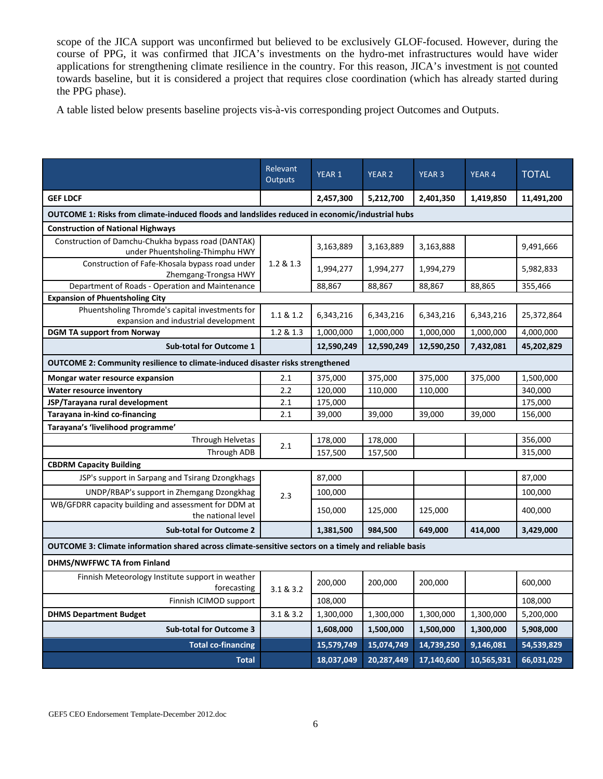scope of the JICA support was unconfirmed but believed to be exclusively GLOF-focused. However, during the course of PPG, it was confirmed that JICA's investments on the hydro-met infrastructures would have wider applications for strengthening climate resilience in the country. For this reason, JICA's investment is not counted towards baseline, but it is considered a project that requires close coordination (which has already started during the PPG phase).

A table listed below presents baseline projects vis-à-vis corresponding project Outcomes and Outputs.

|                                                                                                        | Relevant<br><b>Outputs</b> | YEAR 1     | <b>YEAR 2</b> | <b>YEAR 3</b> | <b>YEAR 4</b> | <b>TOTAL</b> |
|--------------------------------------------------------------------------------------------------------|----------------------------|------------|---------------|---------------|---------------|--------------|
| <b>GEF LDCF</b>                                                                                        |                            | 2,457,300  | 5,212,700     | 2,401,350     | 1,419,850     | 11,491,200   |
| <b>OUTCOME 1: Risks from climate-induced floods and landslides reduced in economic/industrial hubs</b> |                            |            |               |               |               |              |
| <b>Construction of National Highways</b>                                                               |                            |            |               |               |               |              |
| Construction of Damchu-Chukha bypass road (DANTAK)<br>under Phuentsholing-Thimphu HWY                  |                            | 3,163,889  | 3,163,889     | 3,163,888     |               | 9,491,666    |
| Construction of Fafe-Khosala bypass road under<br>Zhemgang-Trongsa HWY                                 | 1.2 & 1.3                  | 1,994,277  | 1,994,277     | 1,994,279     |               | 5,982,833    |
| Department of Roads - Operation and Maintenance                                                        |                            | 88,867     | 88,867        | 88,867        | 88,865        | 355,466      |
| <b>Expansion of Phuentsholing City</b>                                                                 |                            |            |               |               |               |              |
| Phuentsholing Thromde's capital investments for<br>expansion and industrial development                | 1.1 & 1.2                  | 6,343,216  | 6,343,216     | 6,343,216     | 6,343,216     | 25,372,864   |
| <b>DGM TA support from Norway</b>                                                                      | 1.2 & 1.3                  | 1,000,000  | 1,000,000     | 1,000,000     | 1,000,000     | 4,000,000    |
| <b>Sub-total for Outcome 1</b>                                                                         |                            | 12,590,249 | 12,590,249    | 12,590,250    | 7,432,081     | 45,202,829   |
| <b>OUTCOME 2: Community resilience to climate-induced disaster risks strengthened</b>                  |                            |            |               |               |               |              |
| Mongar water resource expansion                                                                        | 2.1                        | 375,000    | 375,000       | 375,000       | 375,000       | 1,500,000    |
| Water resource inventory                                                                               | 2.2                        | 120,000    | 110,000       | 110,000       |               | 340,000      |
| JSP/Tarayana rural development                                                                         | 2.1                        | 175,000    |               |               |               | 175,000      |
| Tarayana in-kind co-financing                                                                          | 2.1                        | 39,000     | 39,000        | 39,000        | 39,000        | 156,000      |
| Tarayana's 'livelihood programme'                                                                      |                            |            |               |               |               |              |
| Through Helvetas                                                                                       | 2.1                        | 178,000    | 178,000       |               |               | 356,000      |
| Through ADB                                                                                            |                            | 157,500    | 157,500       |               |               | 315,000      |
| <b>CBDRM Capacity Building</b>                                                                         |                            |            |               |               |               |              |
| JSP's support in Sarpang and Tsirang Dzongkhags                                                        |                            | 87,000     |               |               |               | 87,000       |
| UNDP/RBAP's support in Zhemgang Dzongkhag                                                              | 2.3                        | 100,000    |               |               |               | 100,000      |
| WB/GFDRR capacity building and assessment for DDM at<br>the national level                             |                            | 150,000    | 125,000       | 125,000       |               | 400,000      |
| <b>Sub-total for Outcome 2</b>                                                                         |                            | 1,381,500  | 984,500       | 649,000       | 414,000       | 3,429,000    |
| OUTCOME 3: Climate information shared across climate-sensitive sectors on a timely and reliable basis  |                            |            |               |               |               |              |
| <b>DHMS/NWFFWC TA from Finland</b>                                                                     |                            |            |               |               |               |              |
| Finnish Meteorology Institute support in weather<br>forecasting                                        | 3.1 & 8.3.2                | 200,000    | 200,000       | 200,000       |               | 600,000      |
| Finnish ICIMOD support                                                                                 |                            | 108,000    |               |               |               | 108,000      |
| <b>DHMS Department Budget</b>                                                                          | 3.1 & 3.2                  | 1,300,000  | 1,300,000     | 1,300,000     | 1,300,000     | 5,200,000    |
| <b>Sub-total for Outcome 3</b>                                                                         |                            | 1,608,000  | 1,500,000     | 1,500,000     | 1,300,000     | 5,908,000    |
| <b>Total co-financing</b>                                                                              |                            | 15,579,749 | 15,074,749    | 14,739,250    | 9,146,081     | 54,539,829   |
| <b>Total</b>                                                                                           |                            | 18,037,049 | 20,287,449    | 17,140,600    | 10,565,931    | 66,031,029   |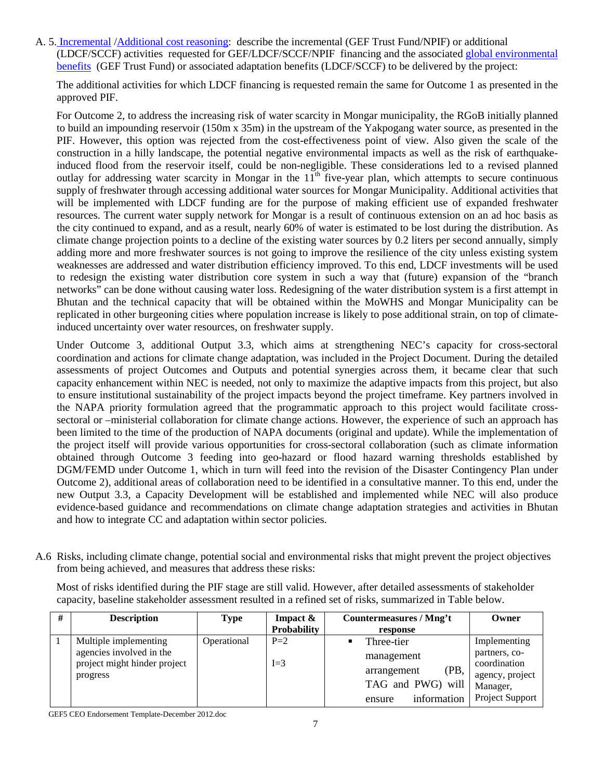A. 5. [Incremental](http://www.thegef.org/gef/node/1890) [/Additional cost reasoning:](http://www.thegef.org/gef/node/1325) describe the incremental (GEF Trust Fund/NPIF) or additional (LDCF/SCCF) activities requested for GEF/LDCF/SCCF/NPIF financing and the associated [global environmental](http://www.thegef.org/gef/sites/thegef.org/files/documents/CPE-Global_Environmental_Benefits_Assessment_Outline.pdf)  [benefits](http://www.thegef.org/gef/sites/thegef.org/files/documents/CPE-Global_Environmental_Benefits_Assessment_Outline.pdf) (GEF Trust Fund) or associated adaptation benefits (LDCF/SCCF) to be delivered by the project:

The additional activities for which LDCF financing is requested remain the same for Outcome 1 as presented in the approved PIF.

For Outcome 2, to address the increasing risk of water scarcity in Mongar municipality, the RGoB initially planned to build an impounding reservoir (150m x 35m) in the upstream of the Yakpogang water source, as presented in the PIF. However, this option was rejected from the cost-effectiveness point of view. Also given the scale of the construction in a hilly landscape, the potential negative environmental impacts as well as the risk of earthquakeinduced flood from the reservoir itself, could be non-negligible. These considerations led to a revised planned outlay for addressing water scarcity in Mongar in the  $11^{th}$  five-year plan, which attempts to secure continuous supply of freshwater through accessing additional water sources for Mongar Municipality. Additional activities that will be implemented with LDCF funding are for the purpose of making efficient use of expanded freshwater resources. The current water supply network for Mongar is a result of continuous extension on an ad hoc basis as the city continued to expand, and as a result, nearly 60% of water is estimated to be lost during the distribution. As climate change projection points to a decline of the existing water sources by 0.2 liters per second annually, simply adding more and more freshwater sources is not going to improve the resilience of the city unless existing system weaknesses are addressed and water distribution efficiency improved. To this end, LDCF investments will be used to redesign the existing water distribution core system in such a way that (future) expansion of the "branch networks" can be done without causing water loss. Redesigning of the water distribution system is a first attempt in Bhutan and the technical capacity that will be obtained within the MoWHS and Mongar Municipality can be replicated in other burgeoning cities where population increase is likely to pose additional strain, on top of climateinduced uncertainty over water resources, on freshwater supply.

Under Outcome 3, additional Output 3.3, which aims at strengthening NEC's capacity for cross-sectoral coordination and actions for climate change adaptation, was included in the Project Document. During the detailed assessments of project Outcomes and Outputs and potential synergies across them, it became clear that such capacity enhancement within NEC is needed, not only to maximize the adaptive impacts from this project, but also to ensure institutional sustainability of the project impacts beyond the project timeframe. Key partners involved in the NAPA priority formulation agreed that the programmatic approach to this project would facilitate crosssectoral or –ministerial collaboration for climate change actions. However, the experience of such an approach has been limited to the time of the production of NAPA documents (original and update). While the implementation of the project itself will provide various opportunities for cross-sectoral collaboration (such as climate information obtained through Outcome 3 feeding into geo-hazard or flood hazard warning thresholds established by DGM/FEMD under Outcome 1, which in turn will feed into the revision of the Disaster Contingency Plan under Outcome 2), additional areas of collaboration need to be identified in a consultative manner. To this end, under the new Output 3.3, a Capacity Development will be established and implemented while NEC will also produce evidence-based guidance and recommendations on climate change adaptation strategies and activities in Bhutan and how to integrate CC and adaptation within sector policies.

A.6 Risks, including climate change, potential social and environmental risks that might prevent the project objectives from being achieved, and measures that address these risks:

Most of risks identified during the PIF stage are still valid. However, after detailed assessments of stakeholder capacity, baseline stakeholder assessment resulted in a refined set of risks, summarized in Table below.

| # | <b>Description</b>                                                   | Type        | Impact $\&$        | <b>Countermeasures / Mng't</b>                         | Owner                                                        |
|---|----------------------------------------------------------------------|-------------|--------------------|--------------------------------------------------------|--------------------------------------------------------------|
|   |                                                                      |             | <b>Probability</b> | response                                               |                                                              |
|   | Multiple implementing                                                | Operational | $P=2$              | Three-tier                                             | Implementing                                                 |
|   | agencies involved in the<br>project might hinder project<br>progress |             | $I=3$              | management<br>(PB,<br>arrangement<br>TAG and PWG) will | partners, co-<br>coordination<br>agency, project<br>Manager, |
|   |                                                                      |             |                    | information<br>ensure                                  | Project Support                                              |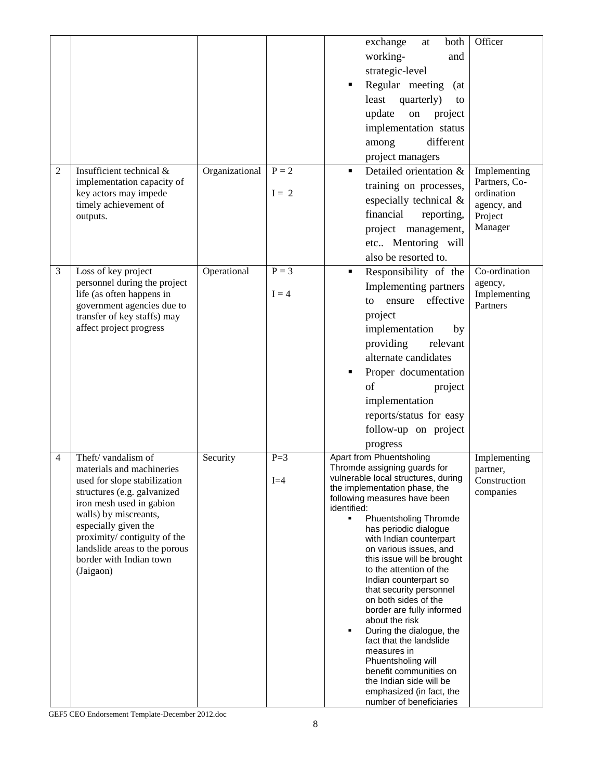|                |                                                             |                |         | exchange<br>both<br>at                                              | Officer                     |
|----------------|-------------------------------------------------------------|----------------|---------|---------------------------------------------------------------------|-----------------------------|
|                |                                                             |                |         | working-<br>and                                                     |                             |
|                |                                                             |                |         | strategic-level                                                     |                             |
|                |                                                             |                |         | Regular meeting<br>(at                                              |                             |
|                |                                                             |                |         | least quarterly)<br>to                                              |                             |
|                |                                                             |                |         | update                                                              |                             |
|                |                                                             |                |         | project<br>${\rm on}$                                               |                             |
|                |                                                             |                |         | implementation status                                               |                             |
|                |                                                             |                |         | different<br>among                                                  |                             |
|                |                                                             |                |         | project managers                                                    |                             |
| $\overline{2}$ | Insufficient technical &                                    | Organizational | $P = 2$ | Detailed orientation &                                              | Implementing                |
|                | implementation capacity of<br>key actors may impede         |                | $I = 2$ | training on processes,                                              | Partners, Co-<br>ordination |
|                | timely achievement of                                       |                |         | especially technical &                                              | agency, and                 |
|                | outputs.                                                    |                |         | financial<br>reporting,                                             | Project                     |
|                |                                                             |                |         | project management,                                                 | Manager                     |
|                |                                                             |                |         | etc Mentoring will                                                  |                             |
|                |                                                             |                |         | also be resorted to.                                                |                             |
| 3              | Loss of key project                                         | Operational    | $P = 3$ | Responsibility of the<br>п                                          | Co-ordination               |
|                | personnel during the project                                |                |         | Implementing partners                                               | agency,                     |
|                | life (as often happens in                                   |                | $I = 4$ | ensure<br>effective<br>to                                           | Implementing                |
|                | government agencies due to                                  |                |         | project                                                             | Partners                    |
|                | transfer of key staffs) may<br>affect project progress      |                |         | implementation<br>by                                                |                             |
|                |                                                             |                |         |                                                                     |                             |
|                |                                                             |                |         | providing<br>relevant                                               |                             |
|                |                                                             |                |         | alternate candidates                                                |                             |
|                |                                                             |                |         | Proper documentation                                                |                             |
|                |                                                             |                |         | of<br>project                                                       |                             |
|                |                                                             |                |         | implementation                                                      |                             |
|                |                                                             |                |         | reports/status for easy                                             |                             |
|                |                                                             |                |         | follow-up on project                                                |                             |
|                |                                                             |                |         | progress                                                            |                             |
| 4              | Theft/vandalism of                                          | Security       | $P=3$   | Apart from Phuentsholing                                            | Implementing                |
|                | materials and machineries                                   |                |         | Thromde assigning guards for<br>vulnerable local structures, during | partner,                    |
|                | used for slope stabilization<br>structures (e.g. galvanized |                | $I=4$   | the implementation phase, the                                       | Construction<br>companies   |
|                | iron mesh used in gabion                                    |                |         | following measures have been                                        |                             |
|                | walls) by miscreants,                                       |                |         | identified:<br>$\blacksquare$<br><b>Phuentsholing Thromde</b>       |                             |
|                | especially given the                                        |                |         | has periodic dialogue                                               |                             |
|                | proximity/contiguity of the                                 |                |         | with Indian counterpart                                             |                             |
|                | landslide areas to the porous<br>border with Indian town    |                |         | on various issues, and<br>this issue will be brought                |                             |
|                | (Jaigaon)                                                   |                |         | to the attention of the                                             |                             |
|                |                                                             |                |         | Indian counterpart so                                               |                             |
|                |                                                             |                |         | that security personnel                                             |                             |
|                |                                                             |                |         | on both sides of the<br>border are fully informed                   |                             |
|                |                                                             |                |         | about the risk                                                      |                             |
|                |                                                             |                |         | During the dialogue, the<br>٠<br>fact that the landslide            |                             |
|                |                                                             |                |         | measures in                                                         |                             |
|                |                                                             |                |         | Phuentsholing will                                                  |                             |
|                |                                                             |                |         | benefit communities on<br>the Indian side will be                   |                             |
|                |                                                             |                |         | emphasized (in fact, the                                            |                             |
|                |                                                             |                |         | number of beneficiaries                                             |                             |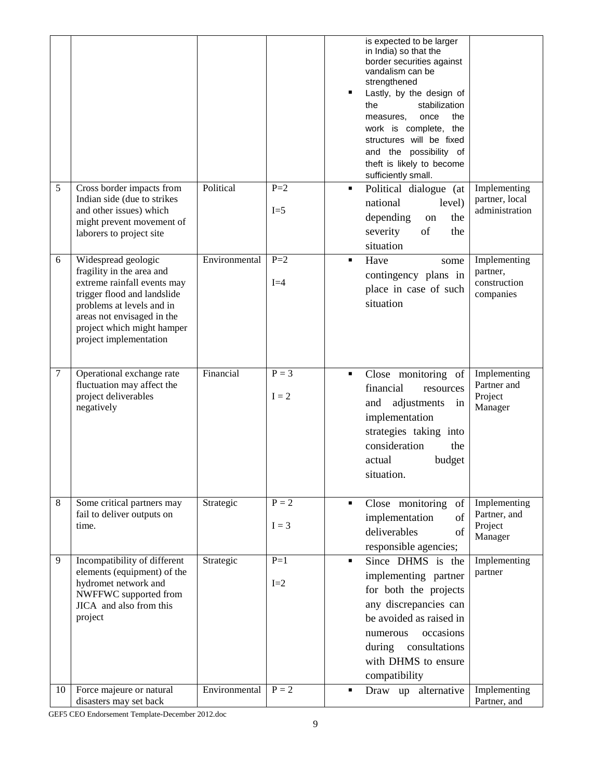|         |                                                                                                                                                                                                                                   |                            |                           | ٠                   | is expected to be larger<br>in India) so that the<br>border securities against<br>vandalism can be<br>strengthened<br>Lastly, by the design of<br>the<br>stabilization<br>once<br>the<br>measures,<br>work is complete, the<br>structures will be fixed<br>and the possibility of<br>theft is likely to become<br>sufficiently small. |                                                       |
|---------|-----------------------------------------------------------------------------------------------------------------------------------------------------------------------------------------------------------------------------------|----------------------------|---------------------------|---------------------|---------------------------------------------------------------------------------------------------------------------------------------------------------------------------------------------------------------------------------------------------------------------------------------------------------------------------------------|-------------------------------------------------------|
| 5       | Cross border impacts from<br>Indian side (due to strikes<br>and other issues) which<br>might prevent movement of<br>laborers to project site                                                                                      | Political                  | $P=2$<br>$I=5$            | ٠                   | Political dialogue (at<br>national<br>level)<br>depending<br>the<br>on<br>of<br>severity<br>the<br>situation                                                                                                                                                                                                                          | Implementing<br>partner, local<br>administration      |
| 6       | Widespread geologic<br>fragility in the area and<br>extreme rainfall events may<br>trigger flood and landslide<br>problems at levels and in<br>areas not envisaged in the<br>project which might hamper<br>project implementation | Environmental              | $P=2$<br>$I=4$            | $\blacksquare$      | Have<br>some<br>contingency plans in<br>place in case of such<br>situation                                                                                                                                                                                                                                                            | Implementing<br>partner,<br>construction<br>companies |
| $\tau$  | Operational exchange rate<br>fluctuation may affect the<br>project deliverables<br>negatively                                                                                                                                     | Financial                  | $P = 3$<br>$I = 2$        | $\blacksquare$      | Close monitoring of<br>financial<br>resources<br>adjustments<br>and<br>in<br>implementation<br>strategies taking into<br>consideration<br>the<br>budget<br>actual<br>situation.                                                                                                                                                       | Implementing<br>Partner and<br>Project<br>Manager     |
| 8       | Some critical partners may<br>fail to deliver outputs on<br>time.                                                                                                                                                                 | Strategic                  | $P = 2$<br>$I = 3$        | ٠                   | Close monitoring<br>of<br>of<br>implementation<br>deliverables<br>of<br>responsible agencies;                                                                                                                                                                                                                                         | Implementing<br>Partner, and<br>Project<br>Manager    |
| 9<br>10 | Incompatibility of different<br>elements (equipment) of the<br>hydromet network and<br>NWFFWC supported from<br>JICA and also from this<br>project<br>Force majeure or natural                                                    | Strategic<br>Environmental | $P=1$<br>$I=2$<br>$P = 2$ | $\blacksquare$<br>٠ | Since DHMS is the<br>implementing partner<br>for both the projects<br>any discrepancies can<br>be avoided as raised in<br>occasions<br>numerous<br>consultations<br>during<br>with DHMS to ensure<br>compatibility<br>Draw up alternative                                                                                             | Implementing<br>partner<br>Implementing               |
|         | disasters may set back                                                                                                                                                                                                            |                            |                           |                     |                                                                                                                                                                                                                                                                                                                                       | Partner, and                                          |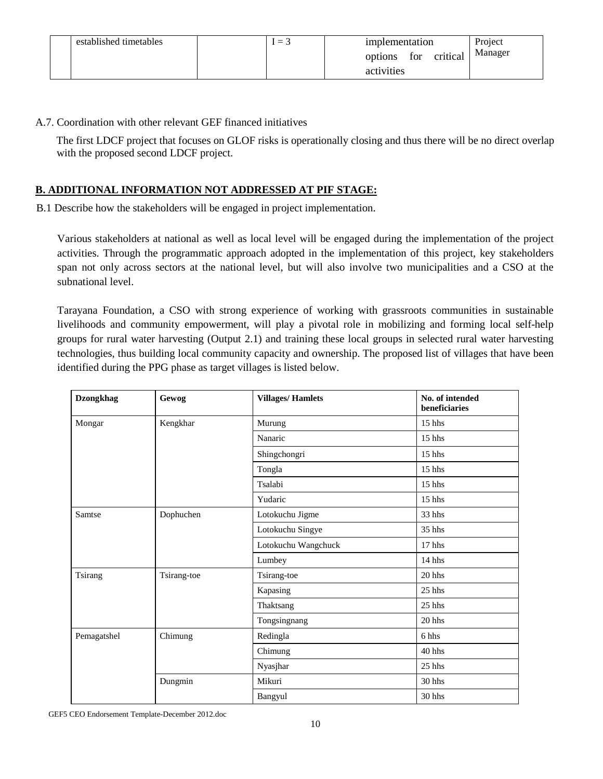| established timetables | i = b | implementation<br>options | for critical | Project<br>Manager |
|------------------------|-------|---------------------------|--------------|--------------------|
|                        |       | activities                |              |                    |

### A.7. Coordination with other relevant GEF financed initiatives

The first LDCF project that focuses on GLOF risks is operationally closing and thus there will be no direct overlap with the proposed second LDCF project.

# **B. ADDITIONAL INFORMATION NOT ADDRESSED AT PIF STAGE:**

B.1 Describe how the stakeholders will be engaged in project implementation.

Various stakeholders at national as well as local level will be engaged during the implementation of the project activities. Through the programmatic approach adopted in the implementation of this project, key stakeholders span not only across sectors at the national level, but will also involve two municipalities and a CSO at the subnational level.

Tarayana Foundation, a CSO with strong experience of working with grassroots communities in sustainable livelihoods and community empowerment, will play a pivotal role in mobilizing and forming local self-help groups for rural water harvesting (Output 2.1) and training these local groups in selected rural water harvesting technologies, thus building local community capacity and ownership. The proposed list of villages that have been identified during the PPG phase as target villages is listed below.

| <b>Dzongkhag</b> | Gewog       | <b>Villages/Hamlets</b> | No. of intended<br>beneficiaries |
|------------------|-------------|-------------------------|----------------------------------|
| Mongar           | Kengkhar    | Murung                  | 15 hhs                           |
|                  |             | Nanaric                 | $15h$ hhs                        |
|                  |             | Shingchongri            | 15 hhs                           |
|                  |             | Tongla                  | $15$ hhs                         |
|                  |             | Tsalabi                 | $15h$ hhs                        |
|                  |             | Yudaric                 | $15h$ hhs                        |
| Samtse           | Dophuchen   | Lotokuchu Jigme         | 33 hhs                           |
|                  |             | Lotokuchu Singye        | $35$ hhs                         |
|                  |             | Lotokuchu Wangchuck     | 17 hhs                           |
|                  |             | Lumbey                  | 14 hhs                           |
| Tsirang          | Tsirang-toe | Tsirang-toe             | 20 hhs                           |
|                  |             | Kapasing                | 25 hhs                           |
|                  |             | Thaktsang               | 25 hhs                           |
|                  |             | Tongsingnang            | 20 hhs                           |
| Pemagatshel      | Chimung     | Redingla                | 6 hhs                            |
|                  |             | Chimung                 | 40 hhs                           |
|                  |             | Nyasjhar                | 25 hhs                           |
|                  | Dungmin     | Mikuri                  | 30 hhs                           |
|                  |             | Bangyul                 | 30 hhs                           |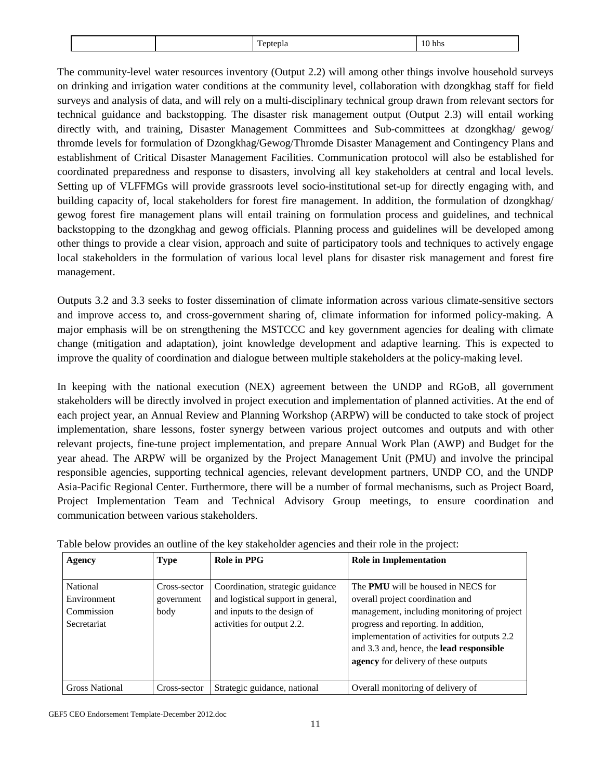|  |  |  |  | ______ |
|--|--|--|--|--------|
|--|--|--|--|--------|

The community-level water resources inventory (Output 2.2) will among other things involve household surveys on drinking and irrigation water conditions at the community level, collaboration with dzongkhag staff for field surveys and analysis of data, and will rely on a multi-disciplinary technical group drawn from relevant sectors for technical guidance and backstopping. The disaster risk management output (Output 2.3) will entail working directly with, and training, Disaster Management Committees and Sub-committees at dzongkhag/ gewog/ thromde levels for formulation of Dzongkhag/Gewog/Thromde Disaster Management and Contingency Plans and establishment of Critical Disaster Management Facilities. Communication protocol will also be established for coordinated preparedness and response to disasters, involving all key stakeholders at central and local levels. Setting up of VLFFMGs will provide grassroots level socio-institutional set-up for directly engaging with, and building capacity of, local stakeholders for forest fire management. In addition, the formulation of dzongkhag/ gewog forest fire management plans will entail training on formulation process and guidelines, and technical backstopping to the dzongkhag and gewog officials. Planning process and guidelines will be developed among other things to provide a clear vision, approach and suite of participatory tools and techniques to actively engage local stakeholders in the formulation of various local level plans for disaster risk management and forest fire management.

Outputs 3.2 and 3.3 seeks to foster dissemination of climate information across various climate-sensitive sectors and improve access to, and cross-government sharing of, climate information for informed policy-making. A major emphasis will be on strengthening the MSTCCC and key government agencies for dealing with climate change (mitigation and adaptation), joint knowledge development and adaptive learning. This is expected to improve the quality of coordination and dialogue between multiple stakeholders at the policy-making level.

In keeping with the national execution (NEX) agreement between the UNDP and RGoB, all government stakeholders will be directly involved in project execution and implementation of planned activities. At the end of each project year, an Annual Review and Planning Workshop (ARPW) will be conducted to take stock of project implementation, share lessons, foster synergy between various project outcomes and outputs and with other relevant projects, fine-tune project implementation, and prepare Annual Work Plan (AWP) and Budget for the year ahead. The ARPW will be organized by the Project Management Unit (PMU) and involve the principal responsible agencies, supporting technical agencies, relevant development partners, UNDP CO, and the UNDP Asia-Pacific Regional Center. Furthermore, there will be a number of formal mechanisms, such as Project Board, Project Implementation Team and Technical Advisory Group meetings, to ensure coordination and communication between various stakeholders.

| Agency                                               | <b>Type</b>                        | <b>Role in PPG</b>                                                                                                                  | <b>Role in Implementation</b>                                                                                                                                                                                                                                                                                   |
|------------------------------------------------------|------------------------------------|-------------------------------------------------------------------------------------------------------------------------------------|-----------------------------------------------------------------------------------------------------------------------------------------------------------------------------------------------------------------------------------------------------------------------------------------------------------------|
| National<br>Environment<br>Commission<br>Secretariat | Cross-sector<br>government<br>body | Coordination, strategic guidance<br>and logistical support in general,<br>and inputs to the design of<br>activities for output 2.2. | The <b>PMU</b> will be housed in NECS for<br>overall project coordination and<br>management, including monitoring of project<br>progress and reporting. In addition,<br>implementation of activities for outputs 2.2<br>and 3.3 and, hence, the lead responsible<br><b>agency</b> for delivery of these outputs |
| <b>Gross National</b>                                | Cross-sector                       | Strategic guidance, national                                                                                                        | Overall monitoring of delivery of                                                                                                                                                                                                                                                                               |

Table below provides an outline of the key stakeholder agencies and their role in the project: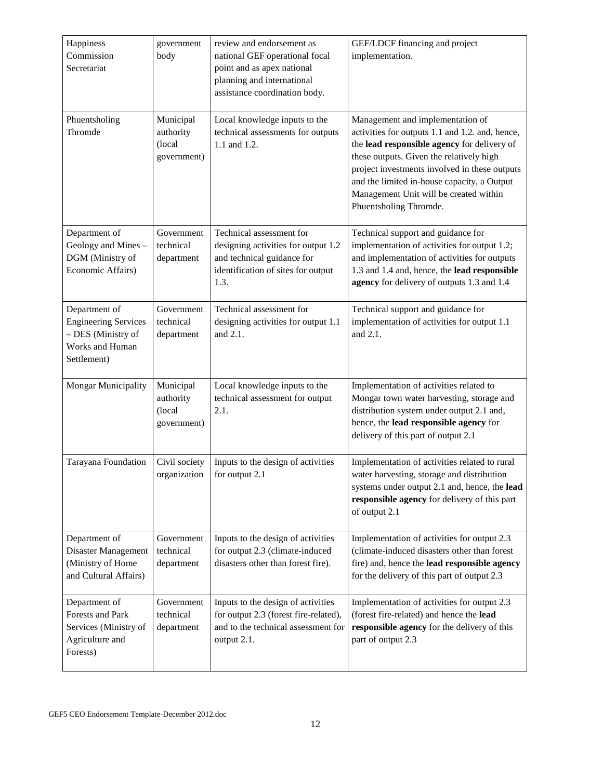| Happiness<br>Commission<br>Secretariat                                                               | government<br>body                              | review and endorsement as<br>national GEF operational focal<br>point and as apex national<br>planning and international<br>assistance coordination body. | GEF/LDCF financing and project<br>implementation.                                                                                                                                                                                                                                                                                                  |
|------------------------------------------------------------------------------------------------------|-------------------------------------------------|----------------------------------------------------------------------------------------------------------------------------------------------------------|----------------------------------------------------------------------------------------------------------------------------------------------------------------------------------------------------------------------------------------------------------------------------------------------------------------------------------------------------|
| Phuentsholing<br>Thromde                                                                             | Municipal<br>authority<br>(local<br>government) | Local knowledge inputs to the<br>technical assessments for outputs<br>1.1 and 1.2.                                                                       | Management and implementation of<br>activities for outputs 1.1 and 1.2. and, hence,<br>the lead responsible agency for delivery of<br>these outputs. Given the relatively high<br>project investments involved in these outputs<br>and the limited in-house capacity, a Output<br>Management Unit will be created within<br>Phuentsholing Thromde. |
| Department of<br>Geology and Mines -<br>DGM (Ministry of<br>Economic Affairs)                        | Government<br>technical<br>department           | Technical assessment for<br>designing activities for output 1.2<br>and technical guidance for<br>identification of sites for output<br>1.3.              | Technical support and guidance for<br>implementation of activities for output 1.2;<br>and implementation of activities for outputs<br>1.3 and 1.4 and, hence, the lead responsible<br>agency for delivery of outputs 1.3 and 1.4                                                                                                                   |
| Department of<br><b>Engineering Services</b><br>- DES (Ministry of<br>Works and Human<br>Settlement) | Government<br>technical<br>department           | Technical assessment for<br>designing activities for output 1.1<br>and 2.1.                                                                              | Technical support and guidance for<br>implementation of activities for output 1.1<br>and 2.1.                                                                                                                                                                                                                                                      |
| <b>Mongar Municipality</b>                                                                           | Municipal<br>authority<br>(local<br>government) | Local knowledge inputs to the<br>technical assessment for output<br>2.1.                                                                                 | Implementation of activities related to<br>Mongar town water harvesting, storage and<br>distribution system under output 2.1 and,<br>hence, the lead responsible agency for<br>delivery of this part of output 2.1                                                                                                                                 |
| Tarayana Foundation                                                                                  | Civil society<br>organization                   | Inputs to the design of activities<br>for output 2.1                                                                                                     | Implementation of activities related to rural<br>water harvesting, storage and distribution<br>systems under output 2.1 and, hence, the lead<br>responsible agency for delivery of this part<br>of output 2.1                                                                                                                                      |
| Department of<br>Disaster Management<br>(Ministry of Home<br>and Cultural Affairs)                   | Government<br>technical<br>department           | Inputs to the design of activities<br>for output 2.3 (climate-induced<br>disasters other than forest fire).                                              | Implementation of activities for output 2.3<br>(climate-induced disasters other than forest<br>fire) and, hence the lead responsible agency<br>for the delivery of this part of output 2.3                                                                                                                                                         |
| Department of<br>Forests and Park<br>Services (Ministry of<br>Agriculture and<br>Forests)            | Government<br>technical<br>department           | Inputs to the design of activities<br>for output 2.3 (forest fire-related),<br>and to the technical assessment for<br>output 2.1.                        | Implementation of activities for output 2.3<br>(forest fire-related) and hence the lead<br>responsible agency for the delivery of this<br>part of output 2.3                                                                                                                                                                                       |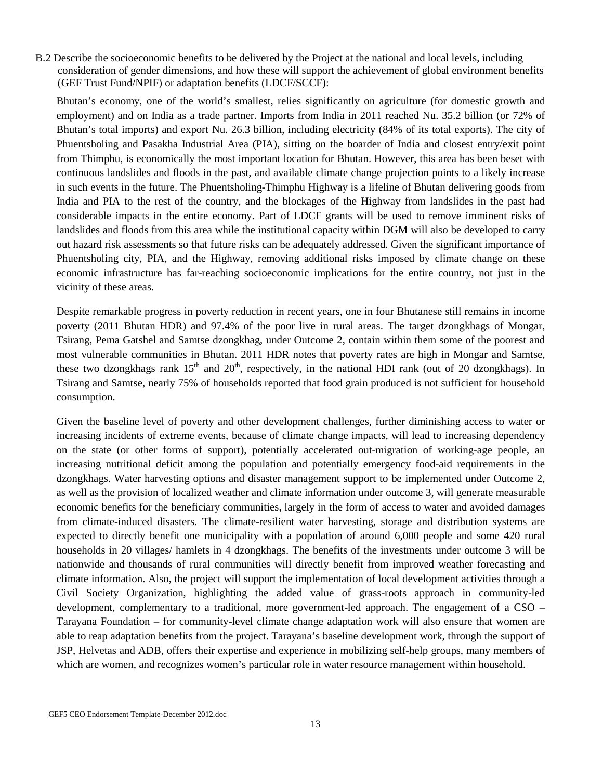B.2 Describe the socioeconomic benefits to be delivered by the Project at the national and local levels, including consideration of gender dimensions, and how these will support the achievement of global environment benefits (GEF Trust Fund/NPIF) or adaptation benefits (LDCF/SCCF):

Bhutan's economy, one of the world's smallest, relies significantly on agriculture (for domestic growth and employment) and on India as a trade partner. Imports from India in 2011 reached Nu. 35.2 billion (or 72% of Bhutan's total imports) and export Nu. 26.3 billion, including electricity (84% of its total exports). The city of Phuentsholing and Pasakha Industrial Area (PIA), sitting on the boarder of India and closest entry/exit point from Thimphu, is economically the most important location for Bhutan. However, this area has been beset with continuous landslides and floods in the past, and available climate change projection points to a likely increase in such events in the future. The Phuentsholing-Thimphu Highway is a lifeline of Bhutan delivering goods from India and PIA to the rest of the country, and the blockages of the Highway from landslides in the past had considerable impacts in the entire economy. Part of LDCF grants will be used to remove imminent risks of landslides and floods from this area while the institutional capacity within DGM will also be developed to carry out hazard risk assessments so that future risks can be adequately addressed. Given the significant importance of Phuentsholing city, PIA, and the Highway, removing additional risks imposed by climate change on these economic infrastructure has far-reaching socioeconomic implications for the entire country, not just in the vicinity of these areas.

Despite remarkable progress in poverty reduction in recent years, one in four Bhutanese still remains in income poverty (2011 Bhutan HDR) and 97.4% of the poor live in rural areas. The target dzongkhags of Mongar, Tsirang, Pema Gatshel and Samtse dzongkhag, under Outcome 2, contain within them some of the poorest and most vulnerable communities in Bhutan. 2011 HDR notes that poverty rates are high in Mongar and Samtse, these two dzongkhags rank  $15<sup>th</sup>$  and  $20<sup>th</sup>$ , respectively, in the national HDI rank (out of 20 dzongkhags). In Tsirang and Samtse, nearly 75% of households reported that food grain produced is not sufficient for household consumption.

Given the baseline level of poverty and other development challenges, further diminishing access to water or increasing incidents of extreme events, because of climate change impacts, will lead to increasing dependency on the state (or other forms of support), potentially accelerated out-migration of working-age people, an increasing nutritional deficit among the population and potentially emergency food-aid requirements in the dzongkhags. Water harvesting options and disaster management support to be implemented under Outcome 2, as well as the provision of localized weather and climate information under outcome 3, will generate measurable economic benefits for the beneficiary communities, largely in the form of access to water and avoided damages from climate-induced disasters. The climate-resilient water harvesting, storage and distribution systems are expected to directly benefit one municipality with a population of around 6,000 people and some 420 rural households in 20 villages/ hamlets in 4 dzongkhags. The benefits of the investments under outcome 3 will be nationwide and thousands of rural communities will directly benefit from improved weather forecasting and climate information. Also, the project will support the implementation of local development activities through a Civil Society Organization, highlighting the added value of grass-roots approach in community-led development, complementary to a traditional, more government-led approach. The engagement of a CSO – Tarayana Foundation – for community-level climate change adaptation work will also ensure that women are able to reap adaptation benefits from the project. Tarayana's baseline development work, through the support of JSP, Helvetas and ADB, offers their expertise and experience in mobilizing self-help groups, many members of which are women, and recognizes women's particular role in water resource management within household.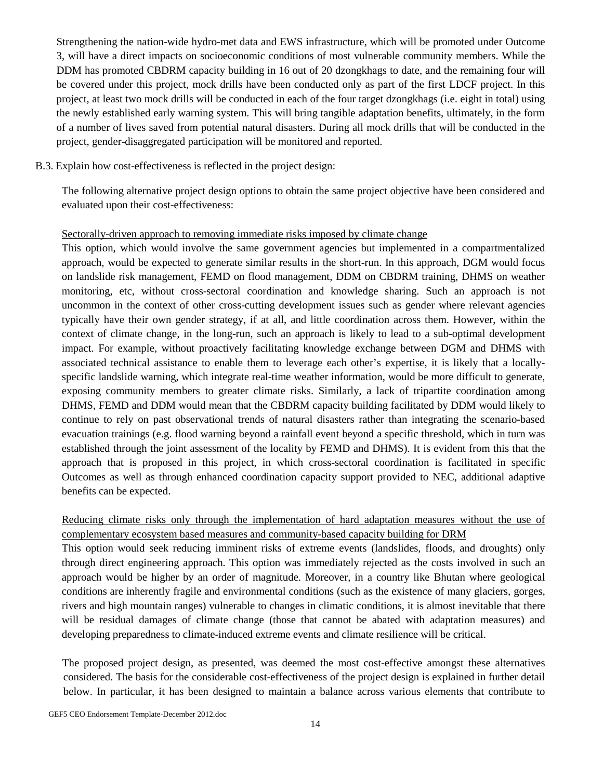Strengthening the nation-wide hydro-met data and EWS infrastructure, which will be promoted under Outcome 3, will have a direct impacts on socioeconomic conditions of most vulnerable community members. While the DDM has promoted CBDRM capacity building in 16 out of 20 dzongkhags to date, and the remaining four will be covered under this project, mock drills have been conducted only as part of the first LDCF project. In this project, at least two mock drills will be conducted in each of the four target dzongkhags (i.e. eight in total) using the newly established early warning system. This will bring tangible adaptation benefits, ultimately, in the form of a number of lives saved from potential natural disasters. During all mock drills that will be conducted in the project, gender-disaggregated participation will be monitored and reported.

B.3. Explain how cost-effectiveness is reflected in the project design:

The following alternative project design options to obtain the same project objective have been considered and evaluated upon their cost-effectiveness:

#### Sectorally-driven approach to removing immediate risks imposed by climate change

This option, which would involve the same government agencies but implemented in a compartmentalized approach, would be expected to generate similar results in the short-run. In this approach, DGM would focus on landslide risk management, FEMD on flood management, DDM on CBDRM training, DHMS on weather monitoring, etc, without cross-sectoral coordination and knowledge sharing. Such an approach is not uncommon in the context of other cross-cutting development issues such as gender where relevant agencies typically have their own gender strategy, if at all, and little coordination across them. However, within the context of climate change, in the long-run, such an approach is likely to lead to a sub-optimal development impact. For example, without proactively facilitating knowledge exchange between DGM and DHMS with associated technical assistance to enable them to leverage each other's expertise, it is likely that a locallyspecific landslide warning, which integrate real-time weather information, would be more difficult to generate, exposing community members to greater climate risks. Similarly, a lack of tripartite coordination among DHMS, FEMD and DDM would mean that the CBDRM capacity building facilitated by DDM would likely to continue to rely on past observational trends of natural disasters rather than integrating the scenario-based evacuation trainings (e.g. flood warning beyond a rainfall event beyond a specific threshold, which in turn was established through the joint assessment of the locality by FEMD and DHMS). It is evident from this that the approach that is proposed in this project, in which cross-sectoral coordination is facilitated in specific Outcomes as well as through enhanced coordination capacity support provided to NEC, additional adaptive benefits can be expected.

# Reducing climate risks only through the implementation of hard adaptation measures without the use of complementary ecosystem based measures and community-based capacity building for DRM

This option would seek reducing imminent risks of extreme events (landslides, floods, and droughts) only through direct engineering approach. This option was immediately rejected as the costs involved in such an approach would be higher by an order of magnitude. Moreover, in a country like Bhutan where geological conditions are inherently fragile and environmental conditions (such as the existence of many glaciers, gorges, rivers and high mountain ranges) vulnerable to changes in climatic conditions, it is almost inevitable that there will be residual damages of climate change (those that cannot be abated with adaptation measures) and developing preparedness to climate-induced extreme events and climate resilience will be critical.

The proposed project design, as presented, was deemed the most cost-effective amongst these alternatives considered. The basis for the considerable cost-effectiveness of the project design is explained in further detail below. In particular, it has been designed to maintain a balance across various elements that contribute to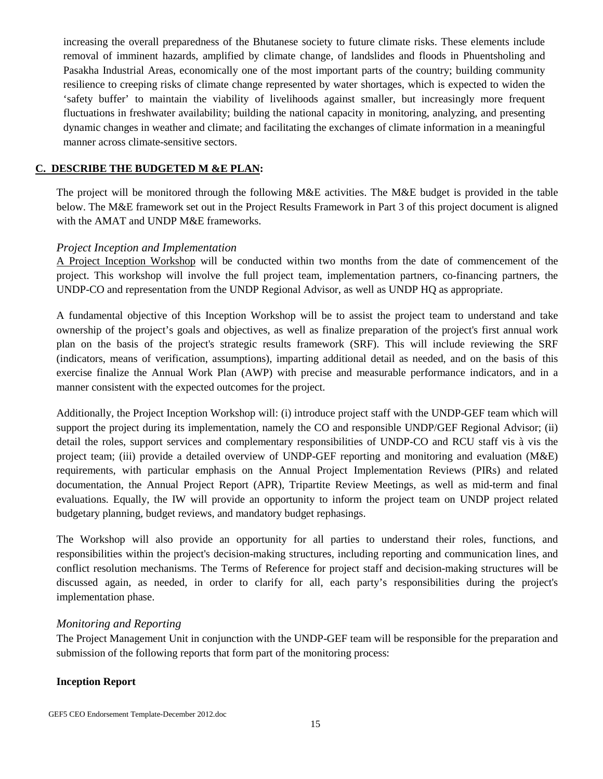increasing the overall preparedness of the Bhutanese society to future climate risks. These elements include removal of imminent hazards, amplified by climate change, of landslides and floods in Phuentsholing and Pasakha Industrial Areas, economically one of the most important parts of the country; building community resilience to creeping risks of climate change represented by water shortages, which is expected to widen the 'safety buffer' to maintain the viability of livelihoods against smaller, but increasingly more frequent fluctuations in freshwater availability; building the national capacity in monitoring, analyzing, and presenting dynamic changes in weather and climate; and facilitating the exchanges of climate information in a meaningful manner across climate-sensitive sectors.

#### **C. DESCRIBE THE BUDGETED M &E PLAN:**

The project will be monitored through the following M&E activities. The M&E budget is provided in the table below. The M&E framework set out in the Project Results Framework in Part 3 of this project document is aligned with the AMAT and UNDP M&E frameworks.

#### *Project Inception and Implementation*

A Project Inception Workshop will be conducted within two months from the date of commencement of the project. This workshop will involve the full project team, implementation partners, co-financing partners, the UNDP-CO and representation from the UNDP Regional Advisor, as well as UNDP HQ as appropriate.

A fundamental objective of this Inception Workshop will be to assist the project team to understand and take ownership of the project's goals and objectives, as well as finalize preparation of the project's first annual work plan on the basis of the project's strategic results framework (SRF). This will include reviewing the SRF (indicators, means of verification, assumptions), imparting additional detail as needed, and on the basis of this exercise finalize the Annual Work Plan (AWP) with precise and measurable performance indicators, and in a manner consistent with the expected outcomes for the project.

Additionally, the Project Inception Workshop will: (i) introduce project staff with the UNDP-GEF team which will support the project during its implementation, namely the CO and responsible UNDP/GEF Regional Advisor; (ii) detail the roles, support services and complementary responsibilities of UNDP-CO and RCU staff vis à vis the project team; (iii) provide a detailed overview of UNDP-GEF reporting and monitoring and evaluation (M&E) requirements, with particular emphasis on the Annual Project Implementation Reviews (PIRs) and related documentation, the Annual Project Report (APR), Tripartite Review Meetings, as well as mid-term and final evaluations. Equally, the IW will provide an opportunity to inform the project team on UNDP project related budgetary planning, budget reviews, and mandatory budget rephasings.

The Workshop will also provide an opportunity for all parties to understand their roles, functions, and responsibilities within the project's decision-making structures, including reporting and communication lines, and conflict resolution mechanisms. The Terms of Reference for project staff and decision-making structures will be discussed again, as needed, in order to clarify for all, each party's responsibilities during the project's implementation phase.

#### *Monitoring and Reporting*

The Project Management Unit in conjunction with the UNDP-GEF team will be responsible for the preparation and submission of the following reports that form part of the monitoring process:

#### **Inception Report**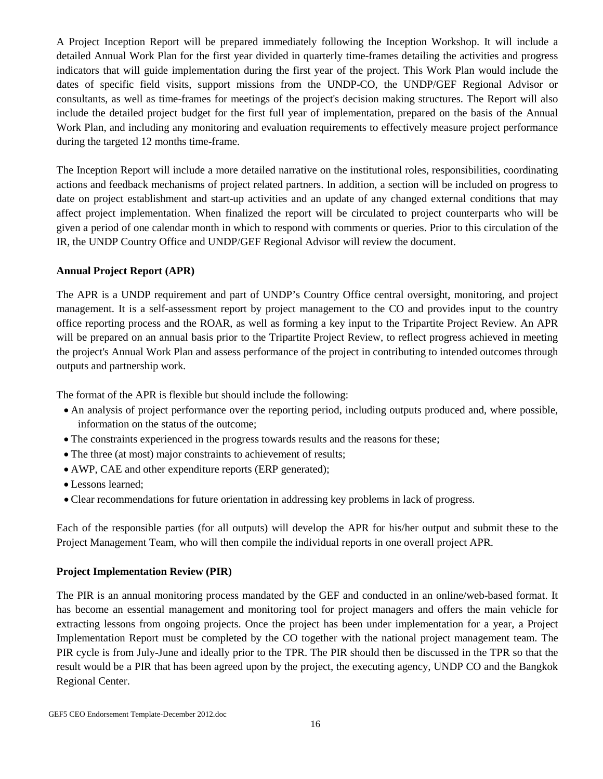A Project Inception Report will be prepared immediately following the Inception Workshop. It will include a detailed Annual Work Plan for the first year divided in quarterly time-frames detailing the activities and progress indicators that will guide implementation during the first year of the project. This Work Plan would include the dates of specific field visits, support missions from the UNDP-CO, the UNDP/GEF Regional Advisor or consultants, as well as time-frames for meetings of the project's decision making structures. The Report will also include the detailed project budget for the first full year of implementation, prepared on the basis of the Annual Work Plan, and including any monitoring and evaluation requirements to effectively measure project performance during the targeted 12 months time-frame.

The Inception Report will include a more detailed narrative on the institutional roles, responsibilities, coordinating actions and feedback mechanisms of project related partners. In addition, a section will be included on progress to date on project establishment and start-up activities and an update of any changed external conditions that may affect project implementation. When finalized the report will be circulated to project counterparts who will be given a period of one calendar month in which to respond with comments or queries. Prior to this circulation of the IR, the UNDP Country Office and UNDP/GEF Regional Advisor will review the document.

### **Annual Project Report (APR)**

The APR is a UNDP requirement and part of UNDP's Country Office central oversight, monitoring, and project management. It is a self-assessment report by project management to the CO and provides input to the country office reporting process and the ROAR, as well as forming a key input to the Tripartite Project Review. An APR will be prepared on an annual basis prior to the Tripartite Project Review, to reflect progress achieved in meeting the project's Annual Work Plan and assess performance of the project in contributing to intended outcomes through outputs and partnership work.

The format of the APR is flexible but should include the following:

- An analysis of project performance over the reporting period, including outputs produced and, where possible, information on the status of the outcome;
- The constraints experienced in the progress towards results and the reasons for these;
- The three (at most) major constraints to achievement of results;
- AWP, CAE and other expenditure reports (ERP generated);
- Lessons learned;
- Clear recommendations for future orientation in addressing key problems in lack of progress.

Each of the responsible parties (for all outputs) will develop the APR for his/her output and submit these to the Project Management Team, who will then compile the individual reports in one overall project APR.

#### **Project Implementation Review (PIR)**

The PIR is an annual monitoring process mandated by the GEF and conducted in an online/web-based format. It has become an essential management and monitoring tool for project managers and offers the main vehicle for extracting lessons from ongoing projects. Once the project has been under implementation for a year, a Project Implementation Report must be completed by the CO together with the national project management team. The PIR cycle is from July-June and ideally prior to the TPR. The PIR should then be discussed in the TPR so that the result would be a PIR that has been agreed upon by the project, the executing agency, UNDP CO and the Bangkok Regional Center.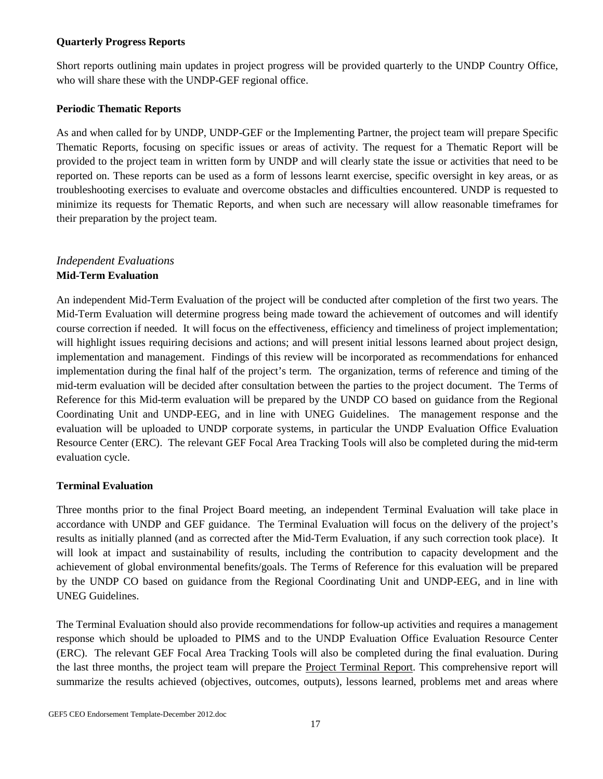#### **Quarterly Progress Reports**

Short reports outlining main updates in project progress will be provided quarterly to the UNDP Country Office, who will share these with the UNDP-GEF regional office.

#### **Periodic Thematic Reports**

As and when called for by UNDP, UNDP-GEF or the Implementing Partner, the project team will prepare Specific Thematic Reports, focusing on specific issues or areas of activity. The request for a Thematic Report will be provided to the project team in written form by UNDP and will clearly state the issue or activities that need to be reported on. These reports can be used as a form of lessons learnt exercise, specific oversight in key areas, or as troubleshooting exercises to evaluate and overcome obstacles and difficulties encountered. UNDP is requested to minimize its requests for Thematic Reports, and when such are necessary will allow reasonable timeframes for their preparation by the project team.

# *Independent Evaluations* **Mid-Term Evaluation**

An independent Mid-Term Evaluation of the project will be conducted after completion of the first two years. The Mid-Term Evaluation will determine progress being made toward the achievement of outcomes and will identify course correction if needed. It will focus on the effectiveness, efficiency and timeliness of project implementation; will highlight issues requiring decisions and actions; and will present initial lessons learned about project design, implementation and management. Findings of this review will be incorporated as recommendations for enhanced implementation during the final half of the project's term. The organization, terms of reference and timing of the mid-term evaluation will be decided after consultation between the parties to the project document. The Terms of Reference for this Mid-term evaluation will be prepared by the UNDP CO based on guidance from the Regional Coordinating Unit and UNDP-EEG, and in line with UNEG Guidelines. The management response and the evaluation will be uploaded to UNDP corporate systems, in particular the [UNDP Evaluation Office Evaluation](http://erc.undp.org/index.aspx?module=Intra)  [Resource Center \(ERC\).](http://erc.undp.org/index.aspx?module=Intra) The relevant GEF Focal Area Tracking Tools will also be completed during the mid-term evaluation cycle.

## **Terminal Evaluation**

Three months prior to the final Project Board meeting, an independent Terminal Evaluation will take place in accordance with UNDP and GEF guidance. The Terminal Evaluation will focus on the delivery of the project's results as initially planned (and as corrected after the Mid-Term Evaluation, if any such correction took place). It will look at impact and sustainability of results, including the contribution to capacity development and the achievement of global environmental benefits/goals. The Terms of Reference for this evaluation will be prepared by the UNDP CO based on guidance from the Regional Coordinating Unit and UNDP-EEG, and in line with UNEG Guidelines.

The Terminal Evaluation should also provide recommendations for follow-up activities and requires a management response which should be uploaded to PIMS and to the [UNDP Evaluation Office Evaluation Resource Center](http://erc.undp.org/index.aspx?module=Intra)  [\(ERC\).](http://erc.undp.org/index.aspx?module=Intra) The relevant GEF Focal Area Tracking Tools will also be completed during the final evaluation. During the last three months, the project team will prepare the Project Terminal Report. This comprehensive report will summarize the results achieved (objectives, outcomes, outputs), lessons learned, problems met and areas where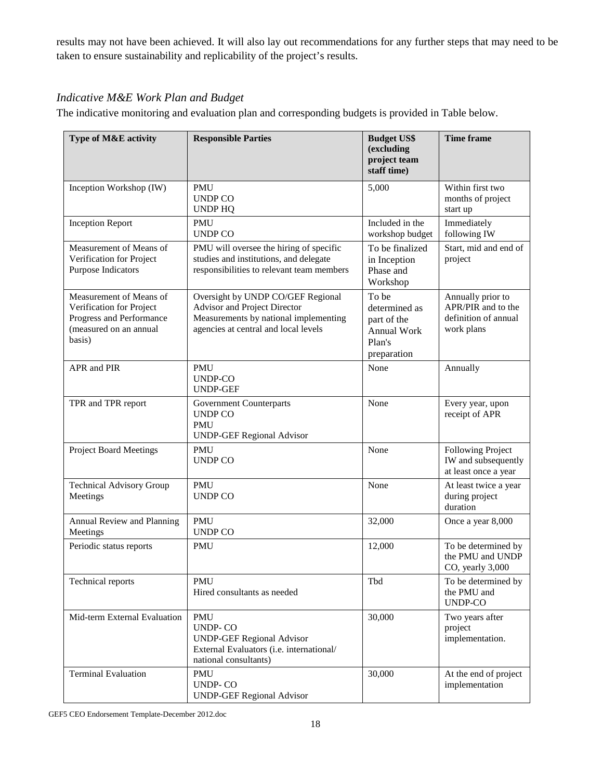results may not have been achieved. It will also lay out recommendations for any further steps that may need to be taken to ensure sustainability and replicability of the project's results.

# *Indicative M&E Work Plan and Budget*

The indicative monitoring and evaluation plan and corresponding budgets is provided in Table below.

| <b>Type of M&amp;E activity</b>                                                                                     | <b>Responsible Parties</b>                                                                                                                                | <b>Budget US\$</b><br>(excluding<br>project team<br>staff time)                      | <b>Time frame</b>                                                             |
|---------------------------------------------------------------------------------------------------------------------|-----------------------------------------------------------------------------------------------------------------------------------------------------------|--------------------------------------------------------------------------------------|-------------------------------------------------------------------------------|
| Inception Workshop (IW)                                                                                             | <b>PMU</b><br><b>UNDP CO</b><br><b>UNDP HQ</b>                                                                                                            | 5,000                                                                                | Within first two<br>months of project<br>start up                             |
| <b>Inception Report</b>                                                                                             | PMU<br><b>UNDP CO</b>                                                                                                                                     | Included in the<br>workshop budget                                                   | Immediately<br>following IW                                                   |
| Measurement of Means of<br>Verification for Project<br><b>Purpose Indicators</b>                                    | PMU will oversee the hiring of specific<br>studies and institutions, and delegate<br>responsibilities to relevant team members                            | To be finalized<br>in Inception<br>Phase and<br>Workshop                             | Start, mid and end of<br>project                                              |
| Measurement of Means of<br>Verification for Project<br>Progress and Performance<br>(measured on an annual<br>basis) | Oversight by UNDP CO/GEF Regional<br><b>Advisor and Project Director</b><br>Measurements by national implementing<br>agencies at central and local levels | To be<br>determined as<br>part of the<br><b>Annual Work</b><br>Plan's<br>preparation | Annually prior to<br>APR/PIR and to the<br>definition of annual<br>work plans |
| <b>APR</b> and <b>PIR</b>                                                                                           | <b>PMU</b><br><b>UNDP-CO</b><br><b>UNDP-GEF</b>                                                                                                           | None                                                                                 | Annually                                                                      |
| TPR and TPR report                                                                                                  | <b>Government Counterparts</b><br><b>UNDP CO</b><br><b>PMU</b><br><b>UNDP-GEF Regional Advisor</b>                                                        | None                                                                                 | Every year, upon<br>receipt of APR                                            |
| <b>Project Board Meetings</b>                                                                                       | <b>PMU</b><br><b>UNDP CO</b>                                                                                                                              | None                                                                                 | Following Project<br>IW and subsequently<br>at least once a year              |
| <b>Technical Advisory Group</b><br>Meetings                                                                         | <b>PMU</b><br><b>UNDP CO</b>                                                                                                                              | None                                                                                 | At least twice a year<br>during project<br>duration                           |
| Annual Review and Planning<br>Meetings                                                                              | <b>PMU</b><br><b>UNDP CO</b>                                                                                                                              | 32,000                                                                               | Once a year 8,000                                                             |
| Periodic status reports                                                                                             | <b>PMU</b>                                                                                                                                                | 12,000                                                                               | To be determined by<br>the PMU and UNDP<br>CO, yearly 3,000                   |
| <b>Technical reports</b>                                                                                            | <b>PMU</b><br>Hired consultants as needed                                                                                                                 | Tbd                                                                                  | To be determined by<br>the PMU and<br><b>UNDP-CO</b>                          |
| Mid-term External Evaluation                                                                                        | <b>PMU</b><br><b>UNDP-CO</b><br><b>UNDP-GEF Regional Advisor</b><br>External Evaluators (i.e. international/<br>national consultants)                     | 30,000                                                                               | Two years after<br>project<br>implementation.                                 |
| <b>Terminal Evaluation</b>                                                                                          | <b>PMU</b><br><b>UNDP-CO</b><br><b>UNDP-GEF Regional Advisor</b>                                                                                          | 30,000                                                                               | At the end of project<br>implementation                                       |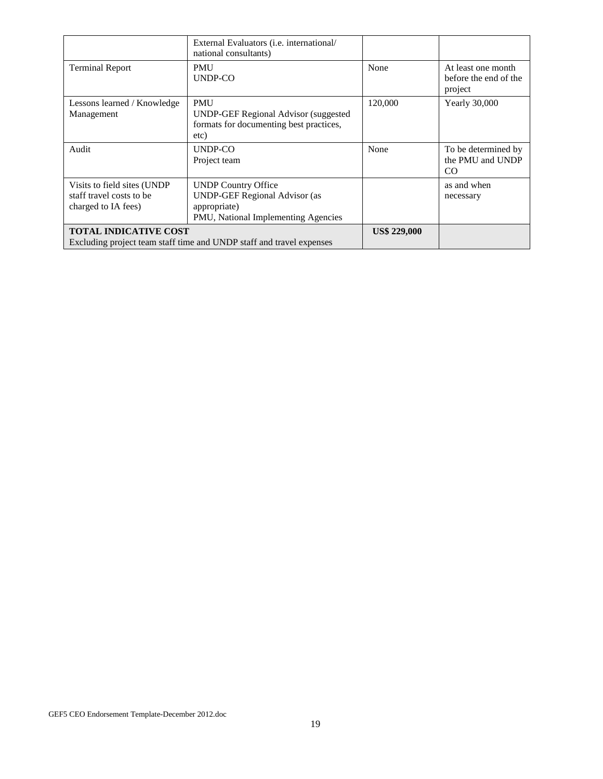|                                                                                                      | External Evaluators ( <i>i.e.</i> international/<br>national consultants)                                                 |         |                                                        |
|------------------------------------------------------------------------------------------------------|---------------------------------------------------------------------------------------------------------------------------|---------|--------------------------------------------------------|
| <b>Terminal Report</b>                                                                               | <b>PMU</b><br>UNDP-CO                                                                                                     | None    | At least one month<br>before the end of the<br>project |
| Lessons learned / Knowledge<br>Management                                                            | <b>PMU</b><br><b>UNDP-GEF Regional Advisor (suggested)</b><br>formats for documenting best practices,<br>etc)             | 120,000 | <b>Yearly 30,000</b>                                   |
| Audit                                                                                                | UNDP-CO<br>Project team                                                                                                   | None    | To be determined by<br>the PMU and UNDP<br>CO.         |
| Visits to field sites (UNDP<br>staff travel costs to be<br>charged to IA fees)                       | <b>UNDP Country Office</b><br><b>UNDP-GEF Regional Advisor (as</b><br>appropriate)<br>PMU, National Implementing Agencies |         | as and when<br>necessary                               |
| <b>TOTAL INDICATIVE COST</b><br>Excluding project team staff time and UNDP staff and travel expenses | <b>US\$ 229,000</b>                                                                                                       |         |                                                        |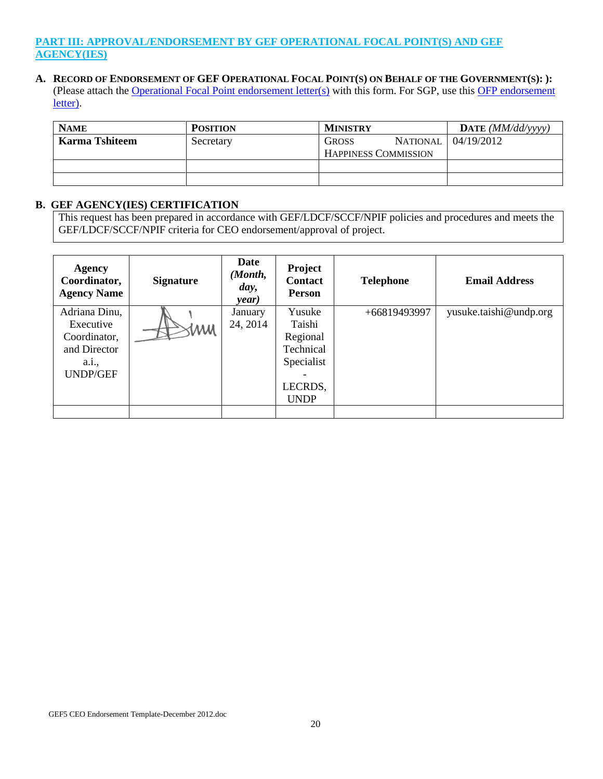### **PART III: APPROVAL/ENDORSEMENT BY GEF OPERATIONAL FOCAL POINT(S) AND GEF AGENCY(IES)**

# **A. RECORD OF ENDORSEMENT OF GEF OPERATIONAL FOCAL POINT(S) ON BEHALF OF THE GOVERNMENT(S): ):**

(Please attach the [Operational Focal Point endorsement letter\(s\)](http://www.thegef.org/gef/sites/thegef.org/files/documents/OFP%20Endorsement%20Letter%20Template%2011-1-11_0.doc) with this form. For SGP, use this OFP endorsement [letter\).](http://www.thegef.org/gef/sites/thegef.org/files/documents/OFP%20Endorsement%20Letter%20Template%20for%20SGP%2009-08-2010.doc)

| <b>NAME</b>           | <b>POSITION</b> | <b>MINISTRY</b>                 | DATE $(MM/dd/\gamma\gamma\gamma\gamma)$ |
|-----------------------|-----------------|---------------------------------|-----------------------------------------|
| <b>Karma Tshiteem</b> | Secretary       | <b>NATIONAL</b><br><b>GROSS</b> | 04/19/2012                              |
|                       |                 | <b>HAPPINESS COMMISSION</b>     |                                         |
|                       |                 |                                 |                                         |
|                       |                 |                                 |                                         |

#### **B. GEF AGENCY(IES) CERTIFICATION**

This request has been prepared in accordance with GEF/LDCF/SCCF/NPIF policies and procedures and meets the GEF/LDCF/SCCF/NPIF criteria for CEO endorsement/approval of project.

| Agency<br>Coordinator,<br><b>Agency Name</b> | <b>Signature</b> | Date<br>(Month,<br>day,<br>year) | <b>Project</b><br><b>Contact</b><br><b>Person</b> | <b>Telephone</b> | <b>Email Address</b>   |
|----------------------------------------------|------------------|----------------------------------|---------------------------------------------------|------------------|------------------------|
| Adriana Dinu,                                |                  | January                          | Yusuke                                            | +66819493997     | yusuke.taishi@undp.org |
| Executive                                    | stmm             | 24, 2014                         | Taishi                                            |                  |                        |
| Coordinator,                                 |                  |                                  | Regional                                          |                  |                        |
| and Director                                 |                  |                                  | Technical                                         |                  |                        |
| a.i.,                                        |                  |                                  | Specialist                                        |                  |                        |
| <b>UNDP/GEF</b>                              |                  |                                  |                                                   |                  |                        |
|                                              |                  |                                  | LECRDS,                                           |                  |                        |
|                                              |                  |                                  | <b>UNDP</b>                                       |                  |                        |
|                                              |                  |                                  |                                                   |                  |                        |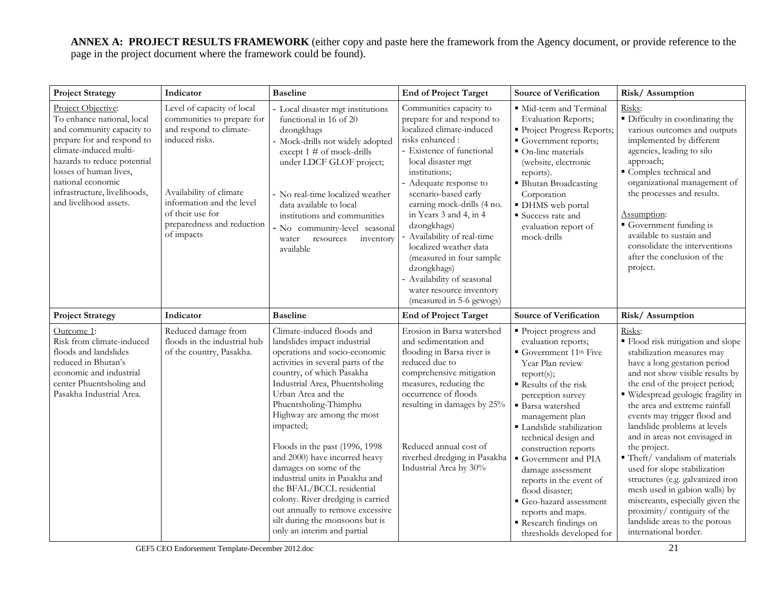**ANNEX A: PROJECT RESULTS FRAMEWORK** (either copy and paste here the framework from the Agency document, or provide reference to the page in the project document where the framework could be found).

| <b>Project Strategy</b>                                                                                                                                                                                                                                                       | Indicator                                                                                                                                                                                                                     | <b>Baseline</b>                                                                                                                                                                                                                                                                                                                                                                                                                                                                                                                                                                                    | <b>End of Project Target</b>                                                                                                                                                                                                                                                                                                                                                                                                                                                              | Source of Verification                                                                                                                                                                                                                                                                                                                                                                                                                                              | Risk/Assumption                                                                                                                                                                                                                                                                                                                                                                                                                                                                                                                                                                                                                           |
|-------------------------------------------------------------------------------------------------------------------------------------------------------------------------------------------------------------------------------------------------------------------------------|-------------------------------------------------------------------------------------------------------------------------------------------------------------------------------------------------------------------------------|----------------------------------------------------------------------------------------------------------------------------------------------------------------------------------------------------------------------------------------------------------------------------------------------------------------------------------------------------------------------------------------------------------------------------------------------------------------------------------------------------------------------------------------------------------------------------------------------------|-------------------------------------------------------------------------------------------------------------------------------------------------------------------------------------------------------------------------------------------------------------------------------------------------------------------------------------------------------------------------------------------------------------------------------------------------------------------------------------------|---------------------------------------------------------------------------------------------------------------------------------------------------------------------------------------------------------------------------------------------------------------------------------------------------------------------------------------------------------------------------------------------------------------------------------------------------------------------|-------------------------------------------------------------------------------------------------------------------------------------------------------------------------------------------------------------------------------------------------------------------------------------------------------------------------------------------------------------------------------------------------------------------------------------------------------------------------------------------------------------------------------------------------------------------------------------------------------------------------------------------|
| Project Objective:<br>To enhance national, local<br>and community capacity to<br>prepare for and respond to<br>climate-induced multi-<br>hazards to reduce potential<br>losses of human lives,<br>national economic<br>infrastructure, livelihoods,<br>and livelihood assets. | Level of capacity of local<br>communities to prepare for<br>and respond to climate-<br>induced risks.<br>Availability of climate<br>information and the level<br>of their use for<br>preparedness and reduction<br>of impacts | - Local disaster mgt institutions<br>functional in 16 of 20<br>dzongkhags<br>Mock-drills not widely adopted<br>except 1 # of mock-drills<br>under LDCF GLOF project;<br>No real-time localized weather<br>data available to local<br>institutions and communities<br>No community-level seasonal<br>resources<br>inventory<br>water<br>available                                                                                                                                                                                                                                                   | Communities capacity to<br>prepare for and respond to<br>localized climate-induced<br>risks enhanced :<br>- Existence of functional<br>local disaster mgt<br>institutions;<br>- Adequate response to<br>scenario-based early<br>earning mock-drills (4 no.<br>in Years 3 and 4, in 4<br>dzongkhags)<br>Availability of real-time<br>localized weather data<br>(measured in four sample<br>dzongkhags)<br>Availability of seasonal<br>water resource inventory<br>(measured in 5-6 gewogs) | · Mid-term and Terminal<br><b>Evaluation Reports;</b><br>Project Progress Reports;<br>Government reports;<br>• On-line materials<br>(website, electronic<br>reports).<br>• Bhutan Broadcasting<br>Corporation<br>· DHMS web portal<br>Success rate and<br>evaluation report of<br>mock-drills                                                                                                                                                                       | Risks:<br>· Difficulty in coordinating the<br>various outcomes and outputs<br>implemented by different<br>agencies, leading to silo<br>approach;<br>Complex technical and<br>organizational management of<br>the processes and results.<br>Assumption:<br>Government funding is<br>available to sustain and<br>consolidate the interventions<br>after the conclusion of the<br>project.                                                                                                                                                                                                                                                   |
| <b>Project Strategy</b>                                                                                                                                                                                                                                                       | Indicator                                                                                                                                                                                                                     | <b>Baseline</b>                                                                                                                                                                                                                                                                                                                                                                                                                                                                                                                                                                                    | <b>End of Project Target</b>                                                                                                                                                                                                                                                                                                                                                                                                                                                              | <b>Source of Verification</b>                                                                                                                                                                                                                                                                                                                                                                                                                                       | Risk/Assumption                                                                                                                                                                                                                                                                                                                                                                                                                                                                                                                                                                                                                           |
| Outcome 1:<br>Risk from climate-induced<br>floods and landslides<br>reduced in Bhutan's<br>economic and industrial<br>center Phuentsholing and<br>Pasakha Industrial Area.                                                                                                    | Reduced damage from<br>floods in the industrial hub<br>of the country, Pasakha.                                                                                                                                               | Climate-induced floods and<br>landslides impact industrial<br>operations and socio-economic<br>activities in several parts of the<br>country, of which Pasakha<br>Industrial Area, Phuentsholing<br>Urban Area and the<br>Phuentsholing-Thimphu<br>Highway are among the most<br>impacted;<br>Floods in the past (1996, 1998<br>and 2000) have incurred heavy<br>damages on some of the<br>industrial units in Pasakha and<br>the BFAL/BCCL residential<br>colony. River dredging is carried<br>out annually to remove excessive<br>silt during the monsoons but is<br>only an interim and partial | Erosion in Barsa watershed<br>and sedimentation and<br>flooding in Barsa river is<br>reduced due to<br>comprehensive mitigation<br>measures, reducing the<br>occurrence of floods<br>resulting in damages by 25%<br>Reduced annual cost of<br>riverbed dredging in Pasakha<br>Industrial Area by 30%                                                                                                                                                                                      | • Project progress and<br>evaluation reports;<br>Government $11th$ Five<br>Year Plan review<br>report(s);<br>Results of the risk<br>perception survey<br>■ Barsa watershed<br>management plan<br>Landslide stabilization<br>technical design and<br>construction reports<br>Government and PIA<br>damage assessment<br>reports in the event of<br>flood disaster;<br>Geo-hazard assessment<br>reports and maps.<br>Research findings on<br>thresholds developed for | Risks:<br>• Flood risk mitigation and slope<br>stabilization measures may<br>have a long gestation period<br>and not show visible results by<br>the end of the project period;<br>· Widespread geologic fragility in<br>the area and extreme rainfall<br>events may trigger flood and<br>landslide problems at levels<br>and in areas not envisaged in<br>the project.<br>Theft/vandalism of materials<br>used for slope stabilization<br>structures (e.g. galvanized iron<br>mesh used in gabion walls) by<br>miscreants, especially given the<br>proximity/ contiguity of the<br>landslide areas to the porous<br>international border. |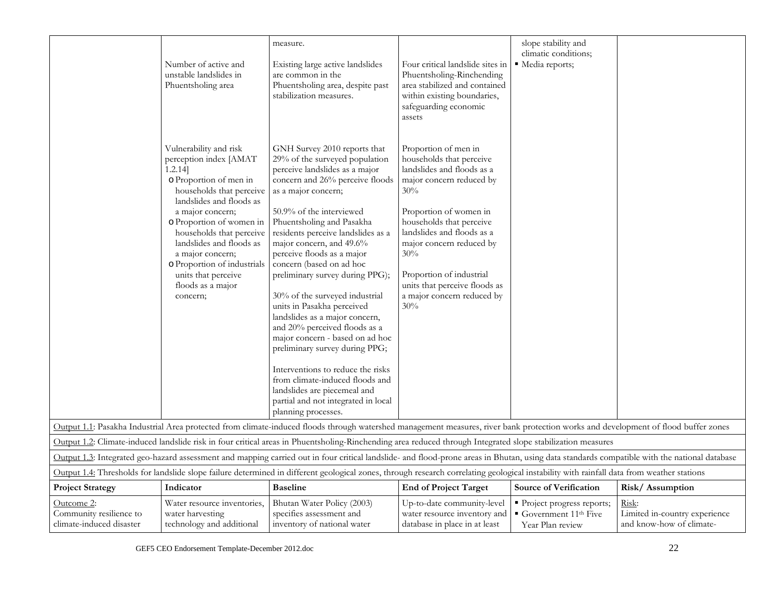|                                                                   | Number of active and<br>unstable landslides in<br>Phuentsholing area                                                                                                                                                                                                                                                                                             | measure.<br>Existing large active landslides<br>are common in the<br>Phuentsholing area, despite past<br>stabilization measures.                                                                                                                                                                                                                                                                                                                                                                                                                                                                                                                                                                                                                                 | Four critical landslide sites in<br>Phuentsholing-Rinchending<br>area stabilized and contained<br>within existing boundaries,<br>safeguarding economic<br>assets                                                                                                                                                                           | slope stability and<br>climatic conditions;<br>· Media reports;         |                                                                    |
|-------------------------------------------------------------------|------------------------------------------------------------------------------------------------------------------------------------------------------------------------------------------------------------------------------------------------------------------------------------------------------------------------------------------------------------------|------------------------------------------------------------------------------------------------------------------------------------------------------------------------------------------------------------------------------------------------------------------------------------------------------------------------------------------------------------------------------------------------------------------------------------------------------------------------------------------------------------------------------------------------------------------------------------------------------------------------------------------------------------------------------------------------------------------------------------------------------------------|--------------------------------------------------------------------------------------------------------------------------------------------------------------------------------------------------------------------------------------------------------------------------------------------------------------------------------------------|-------------------------------------------------------------------------|--------------------------------------------------------------------|
|                                                                   | Vulnerability and risk<br>perception index [AMAT<br>1.2.14]<br>o Proportion of men in<br>households that perceive<br>landslides and floods as<br>a major concern;<br>o Proportion of women in<br>households that perceive<br>landslides and floods as<br>a major concern;<br>o Proportion of industrials<br>units that perceive<br>floods as a major<br>concern; | GNH Survey 2010 reports that<br>29% of the surveyed population<br>perceive landslides as a major<br>concern and 26% perceive floods<br>as a major concern;<br>50.9% of the interviewed<br>Phuentsholing and Pasakha<br>residents perceive landslides as a<br>major concern, and 49.6%<br>perceive floods as a major<br>concern (based on ad hoc<br>preliminary survey during PPG);<br>30% of the surveyed industrial<br>units in Pasakha perceived<br>landslides as a major concern,<br>and 20% perceived floods as a<br>major concern - based on ad hoc<br>preliminary survey during PPG;<br>Interventions to reduce the risks<br>from climate-induced floods and<br>landslides are piecemeal and<br>partial and not integrated in local<br>planning processes. | Proportion of men in<br>households that perceive<br>landslides and floods as a<br>major concern reduced by<br>30%<br>Proportion of women in<br>households that perceive<br>landslides and floods as a<br>major concern reduced by<br>30%<br>Proportion of industrial<br>units that perceive floods as<br>a major concern reduced by<br>30% |                                                                         |                                                                    |
|                                                                   |                                                                                                                                                                                                                                                                                                                                                                  | Output 1.1: Pasakha Industrial Area protected from climate-induced floods through watershed management measures, river bank protection works and development of flood buffer zones                                                                                                                                                                                                                                                                                                                                                                                                                                                                                                                                                                               |                                                                                                                                                                                                                                                                                                                                            |                                                                         |                                                                    |
|                                                                   |                                                                                                                                                                                                                                                                                                                                                                  | Output 1.2: Climate-induced landslide risk in four critical areas in Phuentsholing-Rinchending area reduced through Integrated slope stabilization measures                                                                                                                                                                                                                                                                                                                                                                                                                                                                                                                                                                                                      |                                                                                                                                                                                                                                                                                                                                            |                                                                         |                                                                    |
|                                                                   |                                                                                                                                                                                                                                                                                                                                                                  | Output 1.3: Integrated geo-hazard assessment and mapping carried out in four critical landslide- and flood-prone areas in Bhutan, using data standards compatible with the national database                                                                                                                                                                                                                                                                                                                                                                                                                                                                                                                                                                     |                                                                                                                                                                                                                                                                                                                                            |                                                                         |                                                                    |
|                                                                   |                                                                                                                                                                                                                                                                                                                                                                  | Output 1.4: Thresholds for landslide slope failure determined in different geological zones, through research correlating geological instability with rainfall data from weather stations                                                                                                                                                                                                                                                                                                                                                                                                                                                                                                                                                                        |                                                                                                                                                                                                                                                                                                                                            |                                                                         |                                                                    |
| <b>Project Strategy</b>                                           | Indicator                                                                                                                                                                                                                                                                                                                                                        | <b>Baseline</b>                                                                                                                                                                                                                                                                                                                                                                                                                                                                                                                                                                                                                                                                                                                                                  | <b>End of Project Target</b>                                                                                                                                                                                                                                                                                                               | Source of Verification                                                  | Risk/Assumption                                                    |
| Outcome 2:<br>Community resilience to<br>climate-induced disaster | Water resource inventories,<br>water harvesting<br>technology and additional                                                                                                                                                                                                                                                                                     | Bhutan Water Policy (2003)<br>specifies assessment and<br>inventory of national water                                                                                                                                                                                                                                                                                                                                                                                                                                                                                                                                                                                                                                                                            | Up-to-date community-level<br>water resource inventory and<br>database in place in at least                                                                                                                                                                                                                                                | Project progress reports;<br>Government $11th$ Five<br>Year Plan review | Risk:<br>Limited in-country experience<br>and know-how of climate- |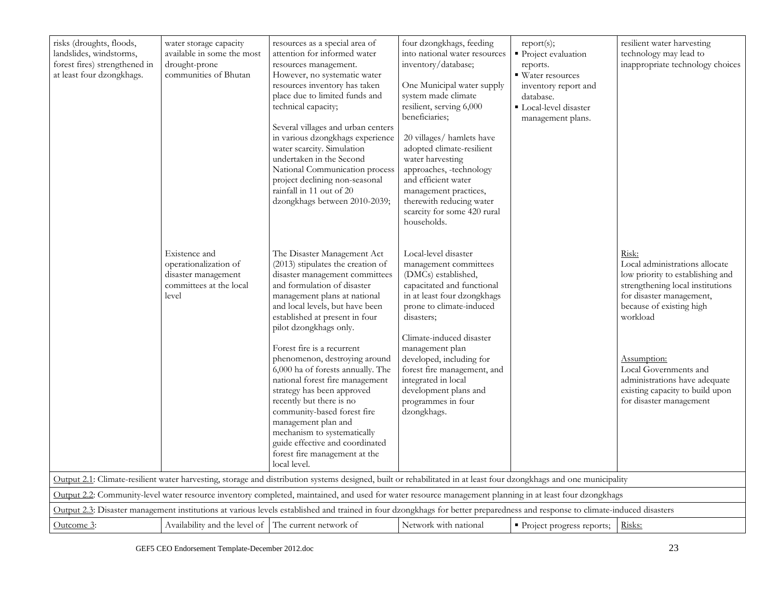| risks (droughts, floods,<br>landslides, windstorms,<br>forest fires) strengthened in<br>at least four dzongkhags.                                                                                                                                                                                                             | water storage capacity<br>available in some the most<br>drought-prone<br>communities of Bhutan    | resources as a special area of<br>attention for informed water<br>resources management.<br>However, no systematic water<br>resources inventory has taken<br>place due to limited funds and<br>technical capacity;<br>Several villages and urban centers<br>in various dzongkhags experience<br>water scarcity. Simulation<br>undertaken in the Second<br>National Communication process<br>project declining non-seasonal<br>rainfall in 11 out of 20<br>dzongkhags between 2010-2039;                                                                                                                                                     | four dzongkhags, feeding<br>into national water resources<br>inventory/database;<br>One Municipal water supply<br>system made climate<br>resilient, serving 6,000<br>beneficiaries;<br>20 villages/ hamlets have<br>adopted climate-resilient<br>water harvesting<br>approaches, -technology<br>and efficient water<br>management practices,<br>therewith reducing water<br>scarcity for some 420 rural<br>households. | report(s);<br>• Project evaluation<br>reports.<br>■ Water resources<br>inventory report and<br>database.<br>Local-level disaster<br>management plans. | resilient water harvesting<br>technology may lead to<br>inappropriate technology choices                                                                                                                                                                                                                                   |
|-------------------------------------------------------------------------------------------------------------------------------------------------------------------------------------------------------------------------------------------------------------------------------------------------------------------------------|---------------------------------------------------------------------------------------------------|--------------------------------------------------------------------------------------------------------------------------------------------------------------------------------------------------------------------------------------------------------------------------------------------------------------------------------------------------------------------------------------------------------------------------------------------------------------------------------------------------------------------------------------------------------------------------------------------------------------------------------------------|------------------------------------------------------------------------------------------------------------------------------------------------------------------------------------------------------------------------------------------------------------------------------------------------------------------------------------------------------------------------------------------------------------------------|-------------------------------------------------------------------------------------------------------------------------------------------------------|----------------------------------------------------------------------------------------------------------------------------------------------------------------------------------------------------------------------------------------------------------------------------------------------------------------------------|
|                                                                                                                                                                                                                                                                                                                               | Existence and<br>operationalization of<br>disaster management<br>committees at the local<br>level | The Disaster Management Act<br>(2013) stipulates the creation of<br>disaster management committees<br>and formulation of disaster<br>management plans at national<br>and local levels, but have been<br>established at present in four<br>pilot dzongkhags only.<br>Forest fire is a recurrent<br>phenomenon, destroying around<br>6,000 ha of forests annually. The<br>national forest fire management<br>strategy has been approved<br>recently but there is no<br>community-based forest fire<br>management plan and<br>mechanism to systematically<br>guide effective and coordinated<br>forest fire management at the<br>local level. | Local-level disaster<br>management committees<br>(DMCs) established,<br>capacitated and functional<br>in at least four dzongkhags<br>prone to climate-induced<br>disasters;<br>Climate-induced disaster<br>management plan<br>developed, including for<br>forest fire management, and<br>integrated in local<br>development plans and<br>programmes in four<br>dzongkhags.                                             |                                                                                                                                                       | Risk:<br>Local administrations allocate<br>low priority to establishing and<br>strengthening local institutions<br>for disaster management,<br>because of existing high<br>workload<br>Assumption:<br>Local Governments and<br>administrations have adequate<br>existing capacity to build upon<br>for disaster management |
| Output 2.1: Climate-resilient water harvesting, storage and distribution systems designed, built or rehabilitated in at least four dzongkhags and one municipality<br>Output 2.2: Community-level water resource inventory completed, maintained, and used for water resource management planning in at least four dzongkhags |                                                                                                   |                                                                                                                                                                                                                                                                                                                                                                                                                                                                                                                                                                                                                                            |                                                                                                                                                                                                                                                                                                                                                                                                                        |                                                                                                                                                       |                                                                                                                                                                                                                                                                                                                            |
|                                                                                                                                                                                                                                                                                                                               |                                                                                                   | Output 2.3: Disaster management institutions at various levels established and trained in four dzongkhags for better preparedness and response to climate-induced disasters                                                                                                                                                                                                                                                                                                                                                                                                                                                                |                                                                                                                                                                                                                                                                                                                                                                                                                        |                                                                                                                                                       |                                                                                                                                                                                                                                                                                                                            |
| Outcome 3:                                                                                                                                                                                                                                                                                                                    | Availability and the level of The current network of                                              |                                                                                                                                                                                                                                                                                                                                                                                                                                                                                                                                                                                                                                            | Network with national                                                                                                                                                                                                                                                                                                                                                                                                  | • Project progress reports;                                                                                                                           | Risks:                                                                                                                                                                                                                                                                                                                     |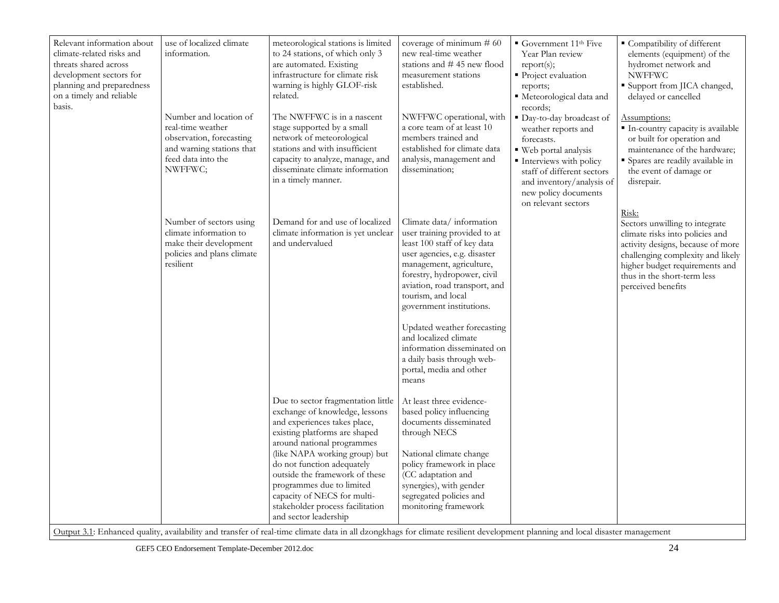| Relevant information about<br>climate-related risks and<br>threats shared across<br>development sectors for<br>planning and preparedness<br>on a timely and reliable<br>basis. | use of localized climate<br>information.<br>Number and location of<br>real-time weather<br>observation, forecasting<br>and warning stations that<br>feed data into the<br>NWFFWC; | meteorological stations is limited<br>to 24 stations, of which only 3<br>are automated. Existing<br>infrastructure for climate risk<br>warning is highly GLOF-risk<br>related.<br>The NWFFWC is in a nascent<br>stage supported by a small<br>network of meteorological<br>stations and with insufficient<br>capacity to analyze, manage, and<br>disseminate climate information<br>in a timely manner. | coverage of minimum $# 60$<br>new real-time weather<br>stations and #45 new flood<br>measurement stations<br>established.<br>NWFFWC operational, with<br>a core team of at least 10<br>members trained and<br>established for climate data<br>analysis, management and<br>dissemination;                                                                                                                                       | Government $11th$ Five<br>Year Plan review<br>report(s);<br>Project evaluation<br>reports;<br>· Meteorological data and<br>records:<br>· Day-to-day broadcast of<br>weather reports and<br>forecasts.<br>■ Web portal analysis<br>Interviews with policy<br>staff of different sectors<br>and inventory/analysis of<br>new policy documents<br>on relevant sectors | Compatibility of different<br>elements (equipment) of the<br>hydromet network and<br><b>NWFFWC</b><br>Support from JICA changed,<br>delayed or cancelled<br>Assumptions:<br>In-country capacity is available<br>or built for operation and<br>maintenance of the hardware;<br>Spares are readily available in<br>the event of damage or<br>disrepair. |
|--------------------------------------------------------------------------------------------------------------------------------------------------------------------------------|-----------------------------------------------------------------------------------------------------------------------------------------------------------------------------------|---------------------------------------------------------------------------------------------------------------------------------------------------------------------------------------------------------------------------------------------------------------------------------------------------------------------------------------------------------------------------------------------------------|--------------------------------------------------------------------------------------------------------------------------------------------------------------------------------------------------------------------------------------------------------------------------------------------------------------------------------------------------------------------------------------------------------------------------------|--------------------------------------------------------------------------------------------------------------------------------------------------------------------------------------------------------------------------------------------------------------------------------------------------------------------------------------------------------------------|-------------------------------------------------------------------------------------------------------------------------------------------------------------------------------------------------------------------------------------------------------------------------------------------------------------------------------------------------------|
|                                                                                                                                                                                | Number of sectors using<br>climate information to<br>make their development<br>policies and plans climate<br>resilient                                                            | Demand for and use of localized<br>climate information is yet unclear<br>and undervalued                                                                                                                                                                                                                                                                                                                | Climate data/information<br>user training provided to at<br>least 100 staff of key data<br>user agencies, e.g. disaster<br>management, agriculture,<br>forestry, hydropower, civil<br>aviation, road transport, and<br>tourism, and local<br>government institutions.<br>Updated weather forecasting<br>and localized climate<br>information disseminated on<br>a daily basis through web-<br>portal, media and other<br>means |                                                                                                                                                                                                                                                                                                                                                                    | <u>Risk:</u><br>Sectors unwilling to integrate<br>climate risks into policies and<br>activity designs, because of more<br>challenging complexity and likely<br>higher budget requirements and<br>thus in the short-term less<br>perceived benefits                                                                                                    |
|                                                                                                                                                                                |                                                                                                                                                                                   | Due to sector fragmentation little<br>exchange of knowledge, lessons<br>and experiences takes place,<br>existing platforms are shaped<br>around national programmes<br>(like NAPA working group) but<br>do not function adequately<br>outside the framework of these<br>programmes due to limited<br>capacity of NECS for multi-<br>stakeholder process facilitation<br>and sector leadership           | At least three evidence-<br>based policy influencing<br>documents disseminated<br>through NECS<br>National climate change<br>policy framework in place<br>(CC adaptation and<br>synergies), with gender<br>segregated policies and<br>monitoring framework                                                                                                                                                                     |                                                                                                                                                                                                                                                                                                                                                                    |                                                                                                                                                                                                                                                                                                                                                       |

Output 3.1: Enhanced quality, availability and transfer of real-time climate data in all dzongkhags for climate resilient development planning and local disaster management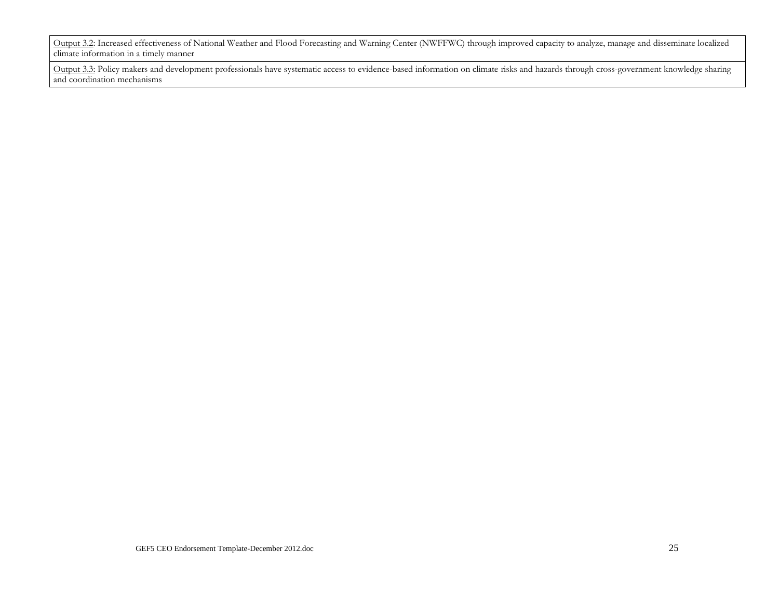Output 3.2: Increased effectiveness of National Weather and Flood Forecasting and Warning Center (NWFFWC) through improved capacity to analyze, manage and disseminate localized climate information in a timely manner

Output 3.3: Policy makers and development professionals have systematic access to evidence-based information on climate risks and hazards through cross-government knowledge sharing and coordination mechanisms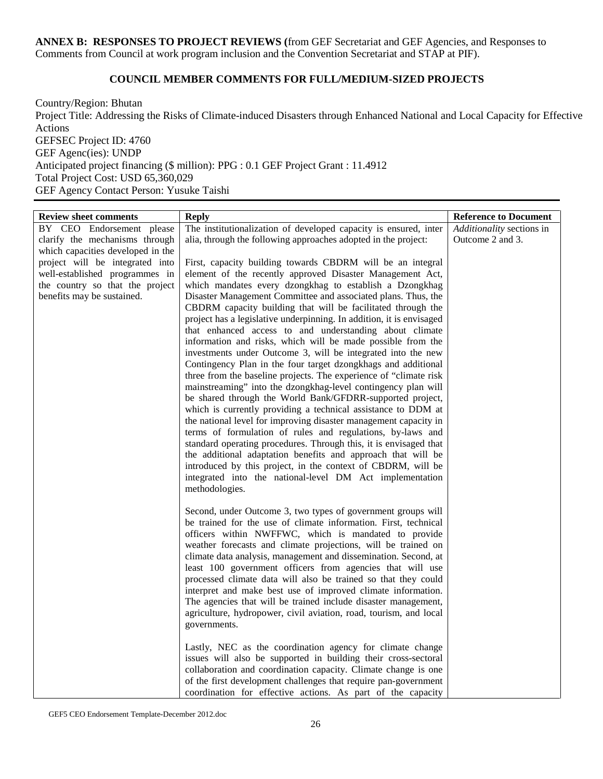**ANNEX B: RESPONSES TO PROJECT REVIEWS (**from GEF Secretariat and GEF Agencies, and Responses to Comments from Council at work program inclusion and the Convention Secretariat and STAP at PIF).

## **COUNCIL MEMBER COMMENTS FOR FULL/MEDIUM-SIZED PROJECTS**

Country/Region: Bhutan Project Title: Addressing the Risks of Climate-induced Disasters through Enhanced National and Local Capacity for Effective Actions GEFSEC Project ID: 4760 GEF Agenc(ies): UNDP Anticipated project financing (\$ million): PPG : 0.1 GEF Project Grant : 11.4912 Total Project Cost: USD 65,360,029 GEF Agency Contact Person: Yusuke Taishi

| <b>Review sheet comments</b>      | <b>Reply</b>                                                                                                               | <b>Reference to Document</b> |
|-----------------------------------|----------------------------------------------------------------------------------------------------------------------------|------------------------------|
| BY CEO Endorsement please         | The institutionalization of developed capacity is ensured, inter                                                           | Additionality sections in    |
| clarify the mechanisms through    | alia, through the following approaches adopted in the project:                                                             | Outcome 2 and 3.             |
| which capacities developed in the |                                                                                                                            |                              |
| project will be integrated into   | First, capacity building towards CBDRM will be an integral                                                                 |                              |
| well-established programmes in    | element of the recently approved Disaster Management Act,                                                                  |                              |
| the country so that the project   | which mandates every dzongkhag to establish a Dzongkhag                                                                    |                              |
| benefits may be sustained.        | Disaster Management Committee and associated plans. Thus, the                                                              |                              |
|                                   | CBDRM capacity building that will be facilitated through the                                                               |                              |
|                                   | project has a legislative underpinning. In addition, it is envisaged                                                       |                              |
|                                   | that enhanced access to and understanding about climate                                                                    |                              |
|                                   | information and risks, which will be made possible from the                                                                |                              |
|                                   | investments under Outcome 3, will be integrated into the new                                                               |                              |
|                                   | Contingency Plan in the four target dzongkhags and additional                                                              |                              |
|                                   | three from the baseline projects. The experience of "climate risk                                                          |                              |
|                                   | mainstreaming" into the dzongkhag-level contingency plan will                                                              |                              |
|                                   | be shared through the World Bank/GFDRR-supported project,<br>which is currently providing a technical assistance to DDM at |                              |
|                                   | the national level for improving disaster management capacity in                                                           |                              |
|                                   | terms of formulation of rules and regulations, by-laws and                                                                 |                              |
|                                   | standard operating procedures. Through this, it is envisaged that                                                          |                              |
|                                   | the additional adaptation benefits and approach that will be                                                               |                              |
|                                   | introduced by this project, in the context of CBDRM, will be                                                               |                              |
|                                   | integrated into the national-level DM Act implementation                                                                   |                              |
|                                   | methodologies.                                                                                                             |                              |
|                                   |                                                                                                                            |                              |
|                                   | Second, under Outcome 3, two types of government groups will                                                               |                              |
|                                   | be trained for the use of climate information. First, technical                                                            |                              |
|                                   | officers within NWFFWC, which is mandated to provide                                                                       |                              |
|                                   | weather forecasts and climate projections, will be trained on                                                              |                              |
|                                   | climate data analysis, management and dissemination. Second, at                                                            |                              |
|                                   | least 100 government officers from agencies that will use                                                                  |                              |
|                                   | processed climate data will also be trained so that they could                                                             |                              |
|                                   | interpret and make best use of improved climate information.                                                               |                              |
|                                   | The agencies that will be trained include disaster management,                                                             |                              |
|                                   | agriculture, hydropower, civil aviation, road, tourism, and local                                                          |                              |
|                                   | governments.                                                                                                               |                              |
|                                   | Lastly, NEC as the coordination agency for climate change                                                                  |                              |
|                                   | issues will also be supported in building their cross-sectoral                                                             |                              |
|                                   | collaboration and coordination capacity. Climate change is one                                                             |                              |
|                                   | of the first development challenges that require pan-government                                                            |                              |
|                                   | coordination for effective actions. As part of the capacity                                                                |                              |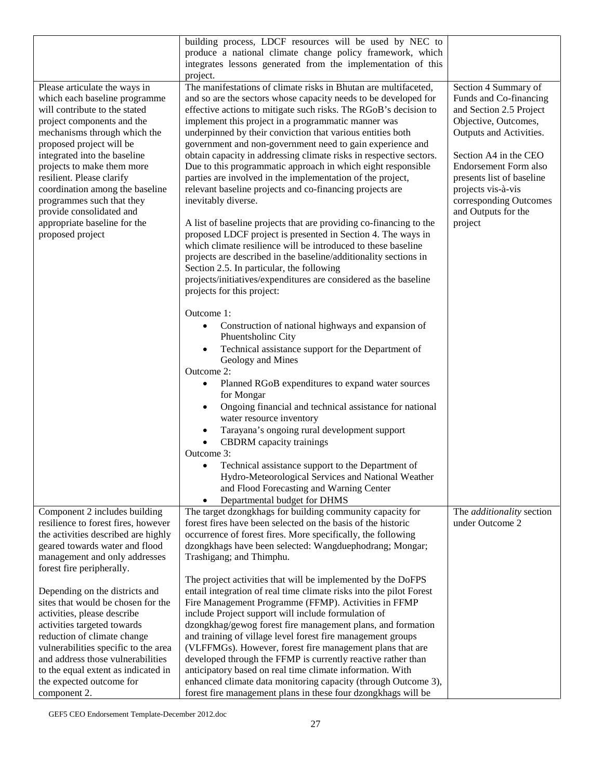|                                                              | building process, LDCF resources will be used by NEC to                                                                |                                                 |
|--------------------------------------------------------------|------------------------------------------------------------------------------------------------------------------------|-------------------------------------------------|
|                                                              | produce a national climate change policy framework, which                                                              |                                                 |
|                                                              | integrates lessons generated from the implementation of this                                                           |                                                 |
|                                                              | project.                                                                                                               |                                                 |
| Please articulate the ways in                                | The manifestations of climate risks in Bhutan are multifaceted,                                                        | Section 4 Summary of                            |
| which each baseline programme                                | and so are the sectors whose capacity needs to be developed for                                                        | Funds and Co-financing                          |
| will contribute to the stated                                | effective actions to mitigate such risks. The RGoB's decision to                                                       | and Section 2.5 Project                         |
| project components and the                                   | implement this project in a programmatic manner was                                                                    | Objective, Outcomes,                            |
| mechanisms through which the                                 | underpinned by their conviction that various entities both                                                             | Outputs and Activities.                         |
| proposed project will be                                     | government and non-government need to gain experience and                                                              |                                                 |
| integrated into the baseline                                 | obtain capacity in addressing climate risks in respective sectors.                                                     | Section A4 in the CEO                           |
| projects to make them more                                   | Due to this programmatic approach in which eight responsible                                                           | Endorsement Form also                           |
| resilient. Please clarify<br>coordination among the baseline | parties are involved in the implementation of the project,<br>relevant baseline projects and co-financing projects are | presents list of baseline<br>projects vis-à-vis |
| programmes such that they                                    | inevitably diverse.                                                                                                    | corresponding Outcomes                          |
| provide consolidated and                                     |                                                                                                                        | and Outputs for the                             |
| appropriate baseline for the                                 | A list of baseline projects that are providing co-financing to the                                                     | project                                         |
| proposed project                                             | proposed LDCF project is presented in Section 4. The ways in                                                           |                                                 |
|                                                              | which climate resilience will be introduced to these baseline                                                          |                                                 |
|                                                              | projects are described in the baseline/additionality sections in                                                       |                                                 |
|                                                              | Section 2.5. In particular, the following                                                                              |                                                 |
|                                                              | projects/initiatives/expenditures are considered as the baseline                                                       |                                                 |
|                                                              | projects for this project:                                                                                             |                                                 |
|                                                              |                                                                                                                        |                                                 |
|                                                              | Outcome 1:                                                                                                             |                                                 |
|                                                              | Construction of national highways and expansion of<br>$\bullet$                                                        |                                                 |
|                                                              | Phuentsholinc City                                                                                                     |                                                 |
|                                                              | Technical assistance support for the Department of                                                                     |                                                 |
|                                                              | Geology and Mines                                                                                                      |                                                 |
|                                                              | Outcome 2:                                                                                                             |                                                 |
|                                                              | Planned RGoB expenditures to expand water sources<br>$\bullet$                                                         |                                                 |
|                                                              | for Mongar                                                                                                             |                                                 |
|                                                              | Ongoing financial and technical assistance for national<br>٠                                                           |                                                 |
|                                                              | water resource inventory                                                                                               |                                                 |
|                                                              | Tarayana's ongoing rural development support                                                                           |                                                 |
|                                                              | CBDRM capacity trainings                                                                                               |                                                 |
|                                                              | Outcome 3:                                                                                                             |                                                 |
|                                                              | Technical assistance support to the Department of                                                                      |                                                 |
|                                                              | Hydro-Meteorological Services and National Weather                                                                     |                                                 |
|                                                              | and Flood Forecasting and Warning Center                                                                               |                                                 |
|                                                              | Departmental budget for DHMS<br>$\bullet$                                                                              |                                                 |
| Component 2 includes building                                | The target dzongkhags for building community capacity for                                                              | The <i>additionality</i> section                |
| resilience to forest fires, however                          | forest fires have been selected on the basis of the historic                                                           | under Outcome 2                                 |
| the activities described are highly                          | occurrence of forest fires. More specifically, the following                                                           |                                                 |
| geared towards water and flood                               | dzongkhags have been selected: Wangduephodrang; Mongar;                                                                |                                                 |
| management and only addresses                                | Trashigang; and Thimphu.                                                                                               |                                                 |
| forest fire peripherally.                                    | The project activities that will be implemented by the DoFPS                                                           |                                                 |
| Depending on the districts and                               | entail integration of real time climate risks into the pilot Forest                                                    |                                                 |
| sites that would be chosen for the                           | Fire Management Programme (FFMP). Activities in FFMP                                                                   |                                                 |
| activities, please describe                                  | include Project support will include formulation of                                                                    |                                                 |
| activities targeted towards                                  | dzongkhag/gewog forest fire management plans, and formation                                                            |                                                 |
| reduction of climate change                                  | and training of village level forest fire management groups                                                            |                                                 |
| vulnerabilities specific to the area                         | (VLFFMGs). However, forest fire management plans that are                                                              |                                                 |
| and address those vulnerabilities                            | developed through the FFMP is currently reactive rather than                                                           |                                                 |
| to the equal extent as indicated in                          | anticipatory based on real time climate information. With                                                              |                                                 |
| the expected outcome for                                     | enhanced climate data monitoring capacity (through Outcome 3),                                                         |                                                 |
| component 2.                                                 | forest fire management plans in these four dzongkhags will be                                                          |                                                 |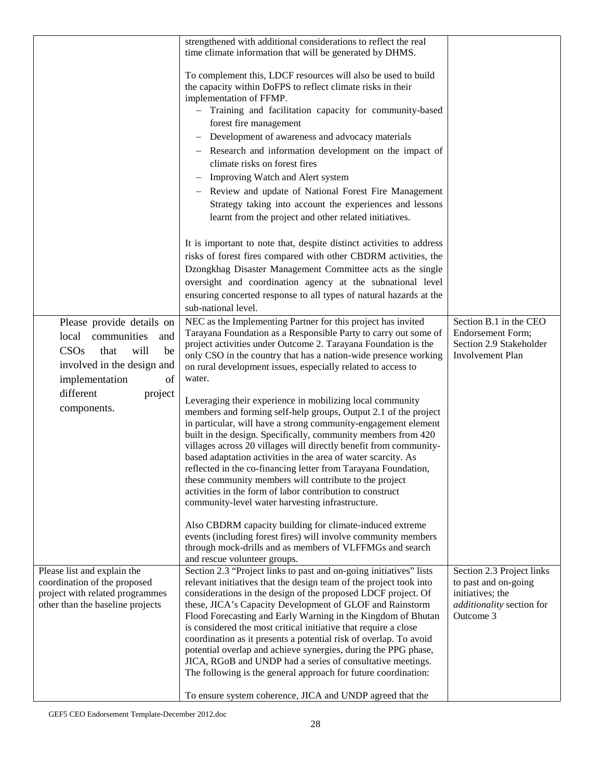|                                  | strengthened with additional considerations to reflect the real                                                              |                           |
|----------------------------------|------------------------------------------------------------------------------------------------------------------------------|---------------------------|
|                                  | time climate information that will be generated by DHMS.                                                                     |                           |
|                                  |                                                                                                                              |                           |
|                                  | To complement this, LDCF resources will also be used to build                                                                |                           |
|                                  | the capacity within DoFPS to reflect climate risks in their                                                                  |                           |
|                                  | implementation of FFMP.                                                                                                      |                           |
|                                  | - Training and facilitation capacity for community-based                                                                     |                           |
|                                  | forest fire management                                                                                                       |                           |
|                                  | Development of awareness and advocacy materials<br>$\overline{\phantom{0}}$                                                  |                           |
|                                  | Research and information development on the impact of                                                                        |                           |
|                                  | climate risks on forest fires                                                                                                |                           |
|                                  | Improving Watch and Alert system                                                                                             |                           |
|                                  | Review and update of National Forest Fire Management                                                                         |                           |
|                                  | Strategy taking into account the experiences and lessons                                                                     |                           |
|                                  | learnt from the project and other related initiatives.                                                                       |                           |
|                                  |                                                                                                                              |                           |
|                                  |                                                                                                                              |                           |
|                                  | It is important to note that, despite distinct activities to address                                                         |                           |
|                                  | risks of forest fires compared with other CBDRM activities, the                                                              |                           |
|                                  | Dzongkhag Disaster Management Committee acts as the single                                                                   |                           |
|                                  | oversight and coordination agency at the subnational level                                                                   |                           |
|                                  | ensuring concerted response to all types of natural hazards at the                                                           |                           |
|                                  | sub-national level.                                                                                                          |                           |
| Please provide details on        | NEC as the Implementing Partner for this project has invited                                                                 | Section B.1 in the CEO    |
| communities<br>local<br>and      | Tarayana Foundation as a Responsible Party to carry out some of                                                              | <b>Endorsement Form;</b>  |
| CSOs<br>will<br>that<br>be       | project activities under Outcome 2. Tarayana Foundation is the                                                               | Section 2.9 Stakeholder   |
| involved in the design and       | only CSO in the country that has a nation-wide presence working                                                              | Involvement Plan          |
|                                  | on rural development issues, especially related to access to                                                                 |                           |
| implementation<br>of             | water.                                                                                                                       |                           |
| different<br>project             | Leveraging their experience in mobilizing local community                                                                    |                           |
| components.                      | members and forming self-help groups, Output 2.1 of the project                                                              |                           |
|                                  | in particular, will have a strong community-engagement element                                                               |                           |
|                                  | built in the design. Specifically, community members from 420                                                                |                           |
|                                  | villages across 20 villages will directly benefit from community-                                                            |                           |
|                                  | based adaptation activities in the area of water scarcity. As                                                                |                           |
|                                  | reflected in the co-financing letter from Tarayana Foundation,                                                               |                           |
|                                  | these community members will contribute to the project                                                                       |                           |
|                                  | activities in the form of labor contribution to construct                                                                    |                           |
|                                  | community-level water harvesting infrastructure.                                                                             |                           |
|                                  | Also CBDRM capacity building for climate-induced extreme                                                                     |                           |
|                                  | events (including forest fires) will involve community members                                                               |                           |
|                                  | through mock-drills and as members of VLFFMGs and search                                                                     |                           |
|                                  | and rescue volunteer groups.                                                                                                 |                           |
| Please list and explain the      | Section 2.3 "Project links to past and on-going initiatives" lists                                                           | Section 2.3 Project links |
| coordination of the proposed     | relevant initiatives that the design team of the project took into                                                           | to past and on-going      |
| project with related programmes  | considerations in the design of the proposed LDCF project. Of                                                                | initiatives; the          |
| other than the baseline projects | these, JICA's Capacity Development of GLOF and Rainstorm                                                                     | additionality section for |
|                                  | Flood Forecasting and Early Warning in the Kingdom of Bhutan                                                                 | Outcome 3                 |
|                                  | is considered the most critical initiative that require a close                                                              |                           |
|                                  | coordination as it presents a potential risk of overlap. To avoid                                                            |                           |
|                                  | potential overlap and achieve synergies, during the PPG phase,<br>JICA, RGoB and UNDP had a series of consultative meetings. |                           |
|                                  | The following is the general approach for future coordination:                                                               |                           |
|                                  |                                                                                                                              |                           |
|                                  | To ensure system coherence, JICA and UNDP agreed that the                                                                    |                           |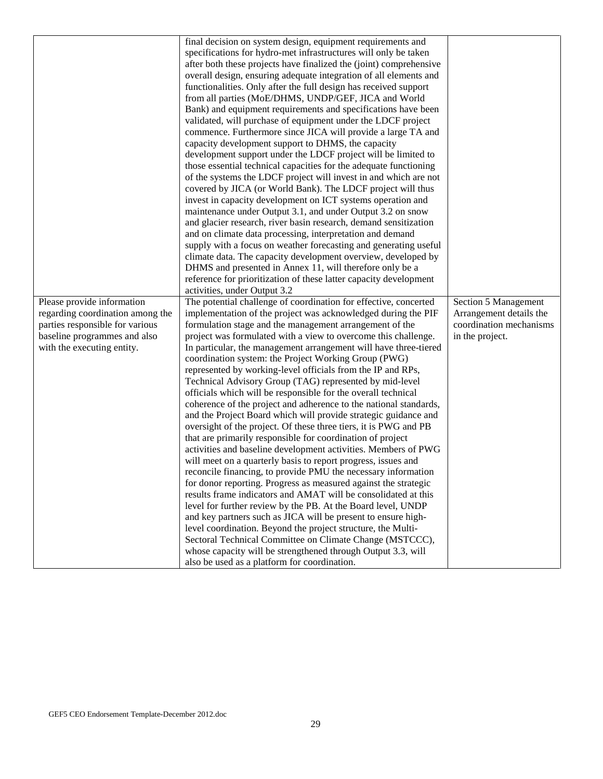|                                  | final decision on system design, equipment requirements and        |                         |
|----------------------------------|--------------------------------------------------------------------|-------------------------|
|                                  | specifications for hydro-met infrastructures will only be taken    |                         |
|                                  | after both these projects have finalized the (joint) comprehensive |                         |
|                                  | overall design, ensuring adequate integration of all elements and  |                         |
|                                  | functionalities. Only after the full design has received support   |                         |
|                                  | from all parties (MoE/DHMS, UNDP/GEF, JICA and World               |                         |
|                                  | Bank) and equipment requirements and specifications have been      |                         |
|                                  | validated, will purchase of equipment under the LDCF project       |                         |
|                                  | commence. Furthermore since JICA will provide a large TA and       |                         |
|                                  | capacity development support to DHMS, the capacity                 |                         |
|                                  | development support under the LDCF project will be limited to      |                         |
|                                  | those essential technical capacities for the adequate functioning  |                         |
|                                  | of the systems the LDCF project will invest in and which are not   |                         |
|                                  | covered by JICA (or World Bank). The LDCF project will thus        |                         |
|                                  | invest in capacity development on ICT systems operation and        |                         |
|                                  | maintenance under Output 3.1, and under Output 3.2 on snow         |                         |
|                                  | and glacier research, river basin research, demand sensitization   |                         |
|                                  | and on climate data processing, interpretation and demand          |                         |
|                                  | supply with a focus on weather forecasting and generating useful   |                         |
|                                  | climate data. The capacity development overview, developed by      |                         |
|                                  | DHMS and presented in Annex 11, will therefore only be a           |                         |
|                                  | reference for prioritization of these latter capacity development  |                         |
|                                  | activities, under Output 3.2                                       |                         |
| Please provide information       | The potential challenge of coordination for effective, concerted   | Section 5 Management    |
| regarding coordination among the | implementation of the project was acknowledged during the PIF      | Arrangement details the |
| parties responsible for various  | formulation stage and the management arrangement of the            | coordination mechanisms |
| baseline programmes and also     | project was formulated with a view to overcome this challenge.     | in the project.         |
| with the executing entity.       | In particular, the management arrangement will have three-tiered   |                         |
|                                  | coordination system: the Project Working Group (PWG)               |                         |
|                                  | represented by working-level officials from the IP and RPs,        |                         |
|                                  | Technical Advisory Group (TAG) represented by mid-level            |                         |
|                                  | officials which will be responsible for the overall technical      |                         |
|                                  |                                                                    |                         |
|                                  | coherence of the project and adherence to the national standards,  |                         |
|                                  | and the Project Board which will provide strategic guidance and    |                         |
|                                  | oversight of the project. Of these three tiers, it is PWG and PB   |                         |
|                                  | that are primarily responsible for coordination of project         |                         |
|                                  | activities and baseline development activities. Members of PWG     |                         |
|                                  | will meet on a quarterly basis to report progress, issues and      |                         |
|                                  | reconcile financing, to provide PMU the necessary information      |                         |
|                                  | for donor reporting. Progress as measured against the strategic    |                         |
|                                  | results frame indicators and AMAT will be consolidated at this     |                         |
|                                  | level for further review by the PB. At the Board level, UNDP       |                         |
|                                  | and key partners such as JICA will be present to ensure high-      |                         |
|                                  | level coordination. Beyond the project structure, the Multi-       |                         |
|                                  | Sectoral Technical Committee on Climate Change (MSTCCC),           |                         |
|                                  | whose capacity will be strengthened through Output 3.3, will       |                         |
|                                  | also be used as a platform for coordination.                       |                         |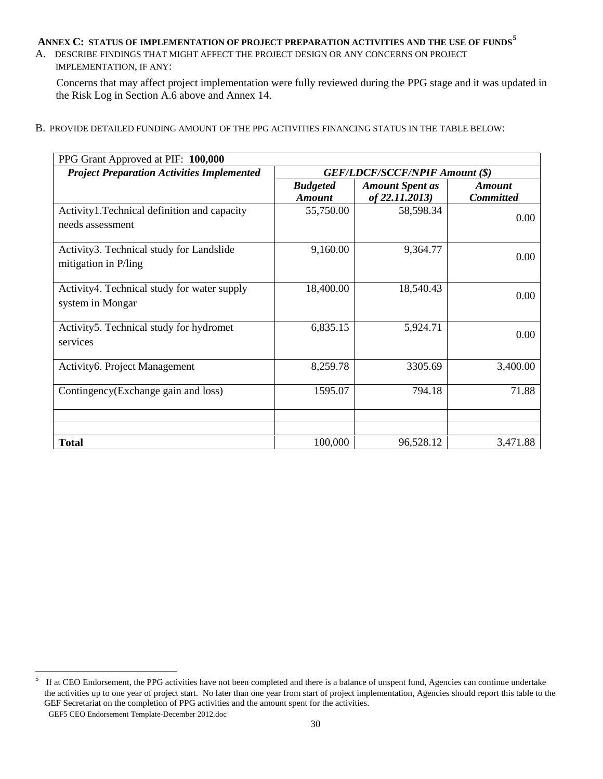# **ANNEX C: STATUS OF IMPLEMENTATION OF PROJECT PREPARATION ACTIVITIES AND THE USE OF FUNDS[5](#page-29-0)**

#### A. DESCRIBE FINDINGS THAT MIGHT AFFECT THE PROJECT DESIGN OR ANY CONCERNS ON PROJECT IMPLEMENTATION, IF ANY:

Concerns that may affect project implementation were fully reviewed during the PPG stage and it was updated in the Risk Log in Section A.6 above and Annex 14.

B. PROVIDE DETAILED FUNDING AMOUNT OF THE PPG ACTIVITIES FINANCING STATUS IN THE TABLE BELOW:

| PPG Grant Approved at PIF: 100,000                               |                                       |                                          |                            |  |  |
|------------------------------------------------------------------|---------------------------------------|------------------------------------------|----------------------------|--|--|
| <b>Project Preparation Activities Implemented</b>                | <b>GEF/LDCF/SCCF/NPIF Amount (\$)</b> |                                          |                            |  |  |
|                                                                  | <b>Budgeted</b><br><b>Amount</b>      | <b>Amount Spent as</b><br>of 22.11.2013) | Amount<br><b>Committed</b> |  |  |
| Activity1. Technical definition and capacity<br>needs assessment | 55,750.00                             | 58,598.34                                | 0.00                       |  |  |
| Activity3. Technical study for Landslide<br>mitigation in P/ling | 9,160.00                              | 9,364.77                                 | 0.00                       |  |  |
| Activity4. Technical study for water supply<br>system in Mongar  | 18,400.00                             | 18,540.43                                | 0.00                       |  |  |
| Activity5. Technical study for hydromet<br>services              | 6,835.15                              | 5,924.71                                 | 0.00                       |  |  |
| Activity6. Project Management                                    | 8,259.78                              | 3305.69                                  | 3,400.00                   |  |  |
| Contingency(Exchange gain and loss)                              | 1595.07                               | 794.18                                   | 71.88                      |  |  |
| <b>Total</b>                                                     | 100,000                               | 96,528.12                                | 3,471.88                   |  |  |

<span id="page-29-0"></span>5 <sup>5</sup> If at CEO Endorsement, the PPG activities have not been completed and there is a balance of unspent fund, Agencies can continue undertake the activities up to one year of project start. No later than one year from start of project implementation, Agencies should report this table to the GEF Secretariat on the completion of PPG activities and the amount spent for the activities.

GEF5 CEO Endorsement Template-December 2012.doc